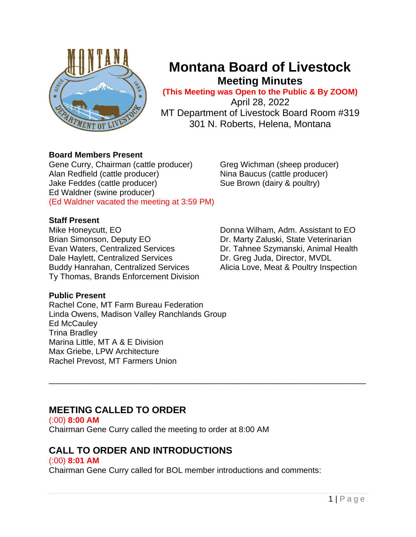

# **Montana Board of Livestock Meeting Minutes**

**(This Meeting was Open to the Public & By ZOOM)** April 28, 2022

MT Department of Livestock Board Room #319 301 N. Roberts, Helena, Montana

## **Board Members Present**

Gene Curry, Chairman (cattle producer) Greg Wichman (sheep producer) Alan Redfield (cattle producer) Nina Baucus (cattle producer) Jake Feddes (cattle producer) Sue Brown (dairy & poultry) Ed Waldner (swine producer) (Ed Waldner vacated the meeting at 3:59 PM)

## **Staff Present**

Mike Honeycutt, EO **Donna Wilham, Adm. Assistant to EO** Brian Simonson, Deputy EO **Dr. Marty Zaluski, State Veterinarian** Evan Waters, Centralized Services Dr. Tahnee Szymanski, Animal Health Dale Haylett, Centralized Services Dr. Greg Juda, Director, MVDL Buddy Hanrahan, Centralized Services Alicia Love, Meat & Poultry Inspection Ty Thomas, Brands Enforcement Division

## **Public Present**

Rachel Cone, MT Farm Bureau Federation Linda Owens, Madison Valley Ranchlands Group Ed McCauley Trina Bradley Marina Little, MT A & E Division Max Griebe, LPW Architecture Rachel Prevost, MT Farmers Union

## **MEETING CALLED TO ORDER**

(:00) **8:00 AM** Chairman Gene Curry called the meeting to order at 8:00 AM

## **CALL TO ORDER AND INTRODUCTIONS**

#### (:00) **8:01 AM**

Chairman Gene Curry called for BOL member introductions and comments:

\_\_\_\_\_\_\_\_\_\_\_\_\_\_\_\_\_\_\_\_\_\_\_\_\_\_\_\_\_\_\_\_\_\_\_\_\_\_\_\_\_\_\_\_\_\_\_\_\_\_\_\_\_\_\_\_\_\_\_\_\_\_\_\_\_\_\_\_\_\_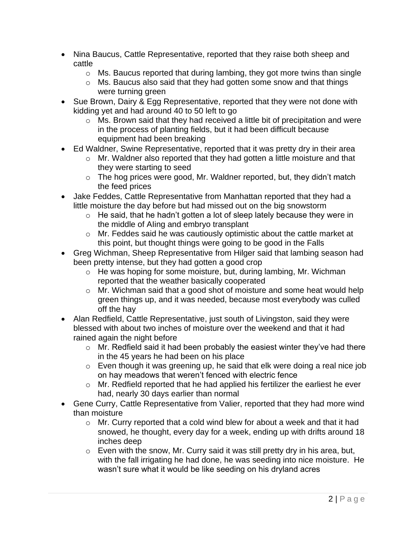- Nina Baucus, Cattle Representative, reported that they raise both sheep and cattle
	- o Ms. Baucus reported that during lambing, they got more twins than single
	- o Ms. Baucus also said that they had gotten some snow and that things were turning green
- Sue Brown, Dairy & Egg Representative, reported that they were not done with kidding yet and had around 40 to 50 left to go
	- o Ms. Brown said that they had received a little bit of precipitation and were in the process of planting fields, but it had been difficult because equipment had been breaking
- Ed Waldner, Swine Representative, reported that it was pretty dry in their area
	- o Mr. Waldner also reported that they had gotten a little moisture and that they were starting to seed
	- o The hog prices were good, Mr. Waldner reported, but, they didn't match the feed prices
- Jake Feddes, Cattle Representative from Manhattan reported that they had a little moisture the day before but had missed out on the big snowstorm
	- $\circ$  He said, that he hadn't gotten a lot of sleep lately because they were in the middle of AIing and embryo transplant
	- o Mr. Feddes said he was cautiously optimistic about the cattle market at this point, but thought things were going to be good in the Falls
- Greg Wichman, Sheep Representative from Hilger said that lambing season had been pretty intense, but they had gotten a good crop
	- $\circ$  He was hoping for some moisture, but, during lambing, Mr. Wichman reported that the weather basically cooperated
	- o Mr. Wichman said that a good shot of moisture and some heat would help green things up, and it was needed, because most everybody was culled off the hay
- Alan Redfield, Cattle Representative, just south of Livingston, said they were blessed with about two inches of moisture over the weekend and that it had rained again the night before
	- $\circ$  Mr. Redfield said it had been probably the easiest winter they've had there in the 45 years he had been on his place
	- o Even though it was greening up, he said that elk were doing a real nice job on hay meadows that weren't fenced with electric fence
	- o Mr. Redfield reported that he had applied his fertilizer the earliest he ever had, nearly 30 days earlier than normal
- Gene Curry, Cattle Representative from Valier, reported that they had more wind than moisture
	- o Mr. Curry reported that a cold wind blew for about a week and that it had snowed, he thought, every day for a week, ending up with drifts around 18 inches deep
	- o Even with the snow, Mr. Curry said it was still pretty dry in his area, but, with the fall irrigating he had done, he was seeding into nice moisture. He wasn't sure what it would be like seeding on his dryland acres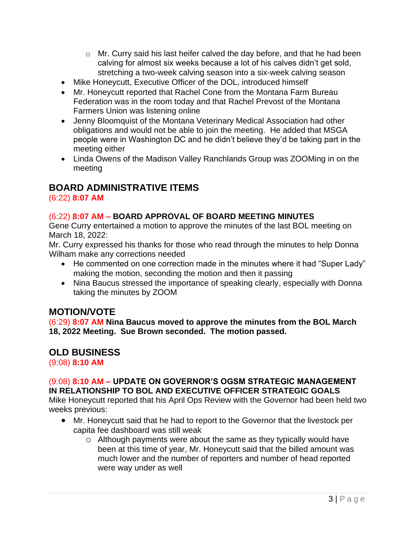- o Mr. Curry said his last heifer calved the day before, and that he had been calving for almost six weeks because a lot of his calves didn't get sold, stretching a two-week calving season into a six-week calving season
- Mike Honeycutt, Executive Officer of the DOL, introduced himself
- Mr. Honeycutt reported that Rachel Cone from the Montana Farm Bureau Federation was in the room today and that Rachel Prevost of the Montana Farmers Union was listening online
- Jenny Bloomquist of the Montana Veterinary Medical Association had other obligations and would not be able to join the meeting. He added that MSGA people were in Washington DC and he didn't believe they'd be taking part in the meeting either
- Linda Owens of the Madison Valley Ranchlands Group was ZOOMing in on the meeting

## **BOARD ADMINISTRATIVE ITEMS**

(6:22) **8:07 AM**

## (6:22) **8:07 AM – BOARD APPROVAL OF BOARD MEETING MINUTES**

Gene Curry entertained a motion to approve the minutes of the last BOL meeting on March 18, 2022:

Mr. Curry expressed his thanks for those who read through the minutes to help Donna Wilham make any corrections needed

- He commented on one correction made in the minutes where it had "Super Lady" making the motion, seconding the motion and then it passing
- Nina Baucus stressed the importance of speaking clearly, especially with Donna taking the minutes by ZOOM

## **MOTION/VOTE**

(6:29) **8:07 AM Nina Baucus moved to approve the minutes from the BOL March 18, 2022 Meeting. Sue Brown seconded. The motion passed.**

## **OLD BUSINESS**

(9:08) **8:10 AM**

## (9:08) **8:10 AM – UPDATE ON GOVERNOR'S OGSM STRATEGIC MANAGEMENT IN RELATIONSHIP TO BOL AND EXECUTIVE OFFICER STRATEGIC GOALS**

Mike Honeycutt reported that his April Ops Review with the Governor had been held two weeks previous:

- Mr. Honeycutt said that he had to report to the Governor that the livestock per capita fee dashboard was still weak
	- o Although payments were about the same as they typically would have been at this time of year, Mr. Honeycutt said that the billed amount was much lower and the number of reporters and number of head reported were way under as well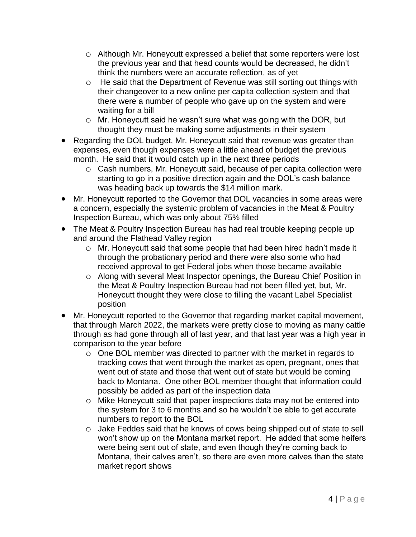- o Although Mr. Honeycutt expressed a belief that some reporters were lost the previous year and that head counts would be decreased, he didn't think the numbers were an accurate reflection, as of yet
- o He said that the Department of Revenue was still sorting out things with their changeover to a new online per capita collection system and that there were a number of people who gave up on the system and were waiting for a bill
- o Mr. Honeycutt said he wasn't sure what was going with the DOR, but thought they must be making some adjustments in their system
- Regarding the DOL budget, Mr. Honeycutt said that revenue was greater than expenses, even though expenses were a little ahead of budget the previous month. He said that it would catch up in the next three periods
	- o Cash numbers, Mr. Honeycutt said, because of per capita collection were starting to go in a positive direction again and the DOL's cash balance was heading back up towards the \$14 million mark.
- Mr. Honeycutt reported to the Governor that DOL vacancies in some areas were a concern, especially the systemic problem of vacancies in the Meat & Poultry Inspection Bureau, which was only about 75% filled
- The Meat & Poultry Inspection Bureau has had real trouble keeping people up and around the Flathead Valley region
	- o Mr. Honeycutt said that some people that had been hired hadn't made it through the probationary period and there were also some who had received approval to get Federal jobs when those became available
	- o Along with several Meat Inspector openings, the Bureau Chief Position in the Meat & Poultry Inspection Bureau had not been filled yet, but, Mr. Honeycutt thought they were close to filling the vacant Label Specialist position
- Mr. Honeycutt reported to the Governor that regarding market capital movement, that through March 2022, the markets were pretty close to moving as many cattle through as had gone through all of last year, and that last year was a high year in comparison to the year before
	- $\circ$  One BOL member was directed to partner with the market in regards to tracking cows that went through the market as open, pregnant, ones that went out of state and those that went out of state but would be coming back to Montana. One other BOL member thought that information could possibly be added as part of the inspection data
	- o Mike Honeycutt said that paper inspections data may not be entered into the system for 3 to 6 months and so he wouldn't be able to get accurate numbers to report to the BOL
	- o Jake Feddes said that he knows of cows being shipped out of state to sell won't show up on the Montana market report. He added that some heifers were being sent out of state, and even though they're coming back to Montana, their calves aren't, so there are even more calves than the state market report shows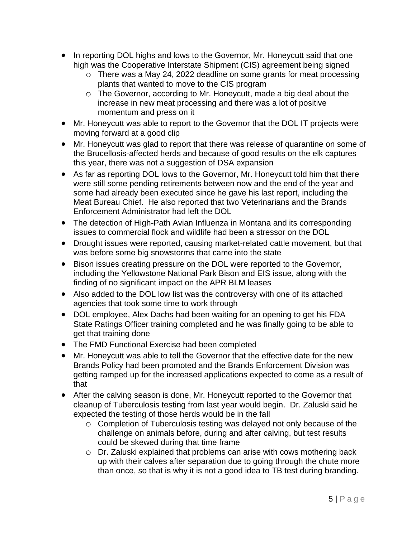- In reporting DOL highs and lows to the Governor, Mr. Honeycutt said that one high was the Cooperative Interstate Shipment (CIS) agreement being signed
	- o There was a May 24, 2022 deadline on some grants for meat processing plants that wanted to move to the CIS program
	- o The Governor, according to Mr. Honeycutt, made a big deal about the increase in new meat processing and there was a lot of positive momentum and press on it
- Mr. Honeycutt was able to report to the Governor that the DOL IT projects were moving forward at a good clip
- Mr. Honeycutt was glad to report that there was release of quarantine on some of the Brucellosis-affected herds and because of good results on the elk captures this year, there was not a suggestion of DSA expansion
- As far as reporting DOL lows to the Governor, Mr. Honeycutt told him that there were still some pending retirements between now and the end of the year and some had already been executed since he gave his last report, including the Meat Bureau Chief. He also reported that two Veterinarians and the Brands Enforcement Administrator had left the DOL
- The detection of High-Path Avian Influenza in Montana and its corresponding issues to commercial flock and wildlife had been a stressor on the DOL
- Drought issues were reported, causing market-related cattle movement, but that was before some big snowstorms that came into the state
- Bison issues creating pressure on the DOL were reported to the Governor, including the Yellowstone National Park Bison and EIS issue, along with the finding of no significant impact on the APR BLM leases
- Also added to the DOL low list was the controversy with one of its attached agencies that took some time to work through
- DOL employee, Alex Dachs had been waiting for an opening to get his FDA State Ratings Officer training completed and he was finally going to be able to get that training done
- The FMD Functional Exercise had been completed
- Mr. Honeycutt was able to tell the Governor that the effective date for the new Brands Policy had been promoted and the Brands Enforcement Division was getting ramped up for the increased applications expected to come as a result of that
- After the calving season is done, Mr. Honeycutt reported to the Governor that cleanup of Tuberculosis testing from last year would begin. Dr. Zaluski said he expected the testing of those herds would be in the fall
	- o Completion of Tuberculosis testing was delayed not only because of the challenge on animals before, during and after calving, but test results could be skewed during that time frame
	- o Dr. Zaluski explained that problems can arise with cows mothering back up with their calves after separation due to going through the chute more than once, so that is why it is not a good idea to TB test during branding.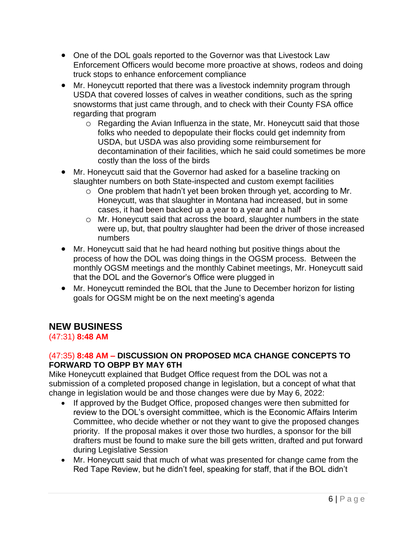- One of the DOL goals reported to the Governor was that Livestock Law Enforcement Officers would become more proactive at shows, rodeos and doing truck stops to enhance enforcement compliance
- Mr. Honeycutt reported that there was a livestock indemnity program through USDA that covered losses of calves in weather conditions, such as the spring snowstorms that just came through, and to check with their County FSA office regarding that program
	- o Regarding the Avian Influenza in the state, Mr. Honeycutt said that those folks who needed to depopulate their flocks could get indemnity from USDA, but USDA was also providing some reimbursement for decontamination of their facilities, which he said could sometimes be more costly than the loss of the birds
- Mr. Honeycutt said that the Governor had asked for a baseline tracking on slaughter numbers on both State-inspected and custom exempt facilities
	- o One problem that hadn't yet been broken through yet, according to Mr. Honeycutt, was that slaughter in Montana had increased, but in some cases, it had been backed up a year to a year and a half
	- o Mr. Honeycutt said that across the board, slaughter numbers in the state were up, but, that poultry slaughter had been the driver of those increased numbers
- Mr. Honeycutt said that he had heard nothing but positive things about the process of how the DOL was doing things in the OGSM process. Between the monthly OGSM meetings and the monthly Cabinet meetings, Mr. Honeycutt said that the DOL and the Governor's Office were plugged in
- Mr. Honeycutt reminded the BOL that the June to December horizon for listing goals for OGSM might be on the next meeting's agenda

## **NEW BUSINESS**

#### (47:31) **8:48 AM**

#### (47:35) **8:48 AM – DISCUSSION ON PROPOSED MCA CHANGE CONCEPTS TO FORWARD TO OBPP BY MAY 6TH**

Mike Honeycutt explained that Budget Office request from the DOL was not a submission of a completed proposed change in legislation, but a concept of what that change in legislation would be and those changes were due by May 6, 2022:

- If approved by the Budget Office, proposed changes were then submitted for review to the DOL's oversight committee, which is the Economic Affairs Interim Committee, who decide whether or not they want to give the proposed changes priority. If the proposal makes it over those two hurdles, a sponsor for the bill drafters must be found to make sure the bill gets written, drafted and put forward during Legislative Session
- Mr. Honeycutt said that much of what was presented for change came from the Red Tape Review, but he didn't feel, speaking for staff, that if the BOL didn't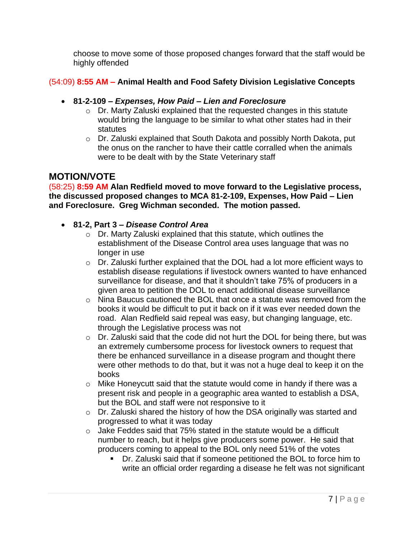choose to move some of those proposed changes forward that the staff would be highly offended

## (54:09) **8:55 AM – Animal Health and Food Safety Division Legislative Concepts**

- **81-2-109 –** *Expenses, How Paid – Lien and Foreclosure*
	- o Dr. Marty Zaluski explained that the requested changes in this statute would bring the language to be similar to what other states had in their **statutes**
	- o Dr. Zaluski explained that South Dakota and possibly North Dakota, put the onus on the rancher to have their cattle corralled when the animals were to be dealt with by the State Veterinary staff

## **MOTION/VOTE**

(58:25) **8:59 AM Alan Redfield moved to move forward to the Legislative process, the discussed proposed changes to MCA 81-2-109, Expenses, How Paid – Lien and Foreclosure. Greg Wichman seconded. The motion passed.**

- **81-2, Part 3 –** *Disease Control Area*
	- o Dr. Marty Zaluski explained that this statute, which outlines the establishment of the Disease Control area uses language that was no longer in use
	- o Dr. Zaluski further explained that the DOL had a lot more efficient ways to establish disease regulations if livestock owners wanted to have enhanced surveillance for disease, and that it shouldn't take 75% of producers in a given area to petition the DOL to enact additional disease surveillance
	- o Nina Baucus cautioned the BOL that once a statute was removed from the books it would be difficult to put it back on if it was ever needed down the road. Alan Redfield said repeal was easy, but changing language, etc. through the Legislative process was not
	- o Dr. Zaluski said that the code did not hurt the DOL for being there, but was an extremely cumbersome process for livestock owners to request that there be enhanced surveillance in a disease program and thought there were other methods to do that, but it was not a huge deal to keep it on the books
	- o Mike Honeycutt said that the statute would come in handy if there was a present risk and people in a geographic area wanted to establish a DSA, but the BOL and staff were not responsive to it
	- o Dr. Zaluski shared the history of how the DSA originally was started and progressed to what it was today
	- $\circ$  Jake Feddes said that 75% stated in the statute would be a difficult number to reach, but it helps give producers some power. He said that producers coming to appeal to the BOL only need 51% of the votes
		- Dr. Zaluski said that if someone petitioned the BOL to force him to write an official order regarding a disease he felt was not significant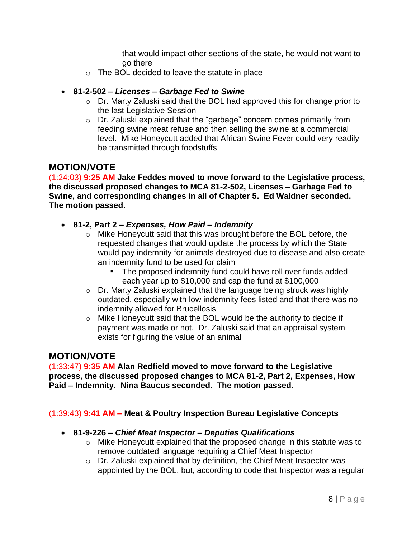that would impact other sections of the state, he would not want to go there

o The BOL decided to leave the statute in place

#### • **81-2-502 –** *Licenses – Garbage Fed to Swine*

- o Dr. Marty Zaluski said that the BOL had approved this for change prior to the last Legislative Session
- o Dr. Zaluski explained that the "garbage" concern comes primarily from feeding swine meat refuse and then selling the swine at a commercial level. Mike Honeycutt added that African Swine Fever could very readily be transmitted through foodstuffs

## **MOTION/VOTE**

(1:24:03) **9:25 AM Jake Feddes moved to move forward to the Legislative process, the discussed proposed changes to MCA 81-2-502, Licenses – Garbage Fed to Swine, and corresponding changes in all of Chapter 5. Ed Waldner seconded. The motion passed.**

- **81-2, Part 2 –** *Expenses, How Paid – Indemnity*
	- o Mike Honeycutt said that this was brought before the BOL before, the requested changes that would update the process by which the State would pay indemnity for animals destroyed due to disease and also create an indemnity fund to be used for claim
		- The proposed indemnity fund could have roll over funds added each year up to \$10,000 and cap the fund at \$100,000
	- o Dr. Marty Zaluski explained that the language being struck was highly outdated, especially with low indemnity fees listed and that there was no indemnity allowed for Brucellosis
	- o Mike Honeycutt said that the BOL would be the authority to decide if payment was made or not. Dr. Zaluski said that an appraisal system exists for figuring the value of an animal

#### **MOTION/VOTE**

(1:33:47) **9:35 AM Alan Redfield moved to move forward to the Legislative process, the discussed proposed changes to MCA 81-2, Part 2, Expenses, How Paid – Indemnity. Nina Baucus seconded. The motion passed.**

#### (1:39:43) **9:41 AM – Meat & Poultry Inspection Bureau Legislative Concepts**

#### • **81-9-226 –** *Chief Meat Inspector – Deputies Qualifications*

- o Mike Honeycutt explained that the proposed change in this statute was to remove outdated language requiring a Chief Meat Inspector
- o Dr. Zaluski explained that by definition, the Chief Meat Inspector was appointed by the BOL, but, according to code that Inspector was a regular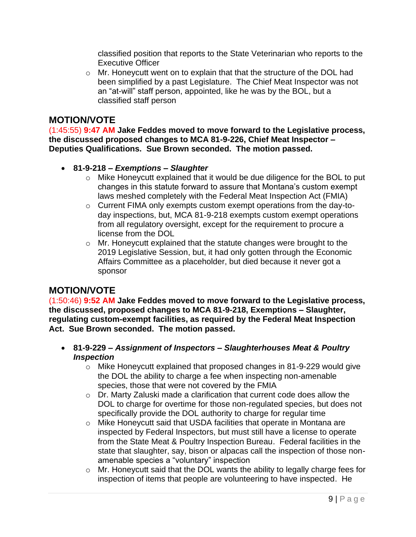classified position that reports to the State Veterinarian who reports to the Executive Officer

o Mr. Honeycutt went on to explain that that the structure of the DOL had been simplified by a past Legislature. The Chief Meat Inspector was not an "at-will" staff person, appointed, like he was by the BOL, but a classified staff person

## **MOTION/VOTE**

(1:45:55) **9:47 AM Jake Feddes moved to move forward to the Legislative process, the discussed proposed changes to MCA 81-9-226, Chief Meat Inspector – Deputies Qualifications. Sue Brown seconded. The motion passed.**

- **81-9-218 –** *Exemptions – Slaughter*
	- o Mike Honeycutt explained that it would be due diligence for the BOL to put changes in this statute forward to assure that Montana's custom exempt laws meshed completely with the Federal Meat Inspection Act (FMIA)
	- o Current FIMA only exempts custom exempt operations from the day-today inspections, but, MCA 81-9-218 exempts custom exempt operations from all regulatory oversight, except for the requirement to procure a license from the DOL
	- o Mr. Honeycutt explained that the statute changes were brought to the 2019 Legislative Session, but, it had only gotten through the Economic Affairs Committee as a placeholder, but died because it never got a sponsor

## **MOTION/VOTE**

(1:50:46) **9:52 AM Jake Feddes moved to move forward to the Legislative process, the discussed, proposed changes to MCA 81-9-218, Exemptions – Slaughter, regulating custom-exempt facilities, as required by the Federal Meat Inspection Act. Sue Brown seconded. The motion passed.**

- **81-9-229 –** *Assignment of Inspectors – Slaughterhouses Meat & Poultry Inspection*
	- o Mike Honeycutt explained that proposed changes in 81-9-229 would give the DOL the ability to charge a fee when inspecting non-amenable species, those that were not covered by the FMIA
	- o Dr. Marty Zaluski made a clarification that current code does allow the DOL to charge for overtime for those non-regulated species, but does not specifically provide the DOL authority to charge for regular time
	- o Mike Honeycutt said that USDA facilities that operate in Montana are inspected by Federal Inspectors, but must still have a license to operate from the State Meat & Poultry Inspection Bureau. Federal facilities in the state that slaughter, say, bison or alpacas call the inspection of those nonamenable species a "voluntary" inspection
	- o Mr. Honeycutt said that the DOL wants the ability to legally charge fees for inspection of items that people are volunteering to have inspected. He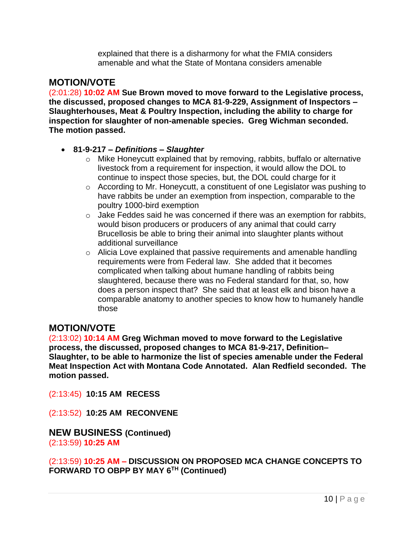explained that there is a disharmony for what the FMIA considers amenable and what the State of Montana considers amenable

## **MOTION/VOTE**

(2:01:28) **10:02 AM Sue Brown moved to move forward to the Legislative process, the discussed, proposed changes to MCA 81-9-229, Assignment of Inspectors – Slaughterhouses, Meat & Poultry Inspection, including the ability to charge for inspection for slaughter of non-amenable species. Greg Wichman seconded. The motion passed.**

#### • **81-9-217 –** *Definitions – Slaughter*

- o Mike Honeycutt explained that by removing, rabbits, buffalo or alternative livestock from a requirement for inspection, it would allow the DOL to continue to inspect those species, but, the DOL could charge for it
- o According to Mr. Honeycutt, a constituent of one Legislator was pushing to have rabbits be under an exemption from inspection, comparable to the poultry 1000-bird exemption
- o Jake Feddes said he was concerned if there was an exemption for rabbits, would bison producers or producers of any animal that could carry Brucellosis be able to bring their animal into slaughter plants without additional surveillance
- $\circ$  Alicia Love explained that passive requirements and amenable handling requirements were from Federal law. She added that it becomes complicated when talking about humane handling of rabbits being slaughtered, because there was no Federal standard for that, so, how does a person inspect that? She said that at least elk and bison have a comparable anatomy to another species to know how to humanely handle those

## **MOTION/VOTE**

(2:13:02) **10:14 AM Greg Wichman moved to move forward to the Legislative process, the discussed, proposed changes to MCA 81-9-217, Definition– Slaughter, to be able to harmonize the list of species amenable under the Federal Meat Inspection Act with Montana Code Annotated. Alan Redfield seconded. The motion passed.**

(2:13:45) **10:15 AM RECESS**

(2:13:52) **10:25 AM RECONVENE**

**NEW BUSINESS (Continued)** (2:13:59) **10:25 AM**

(2:13:59) **10:25 AM – DISCUSSION ON PROPOSED MCA CHANGE CONCEPTS TO FORWARD TO OBPP BY MAY 6TH (Continued)**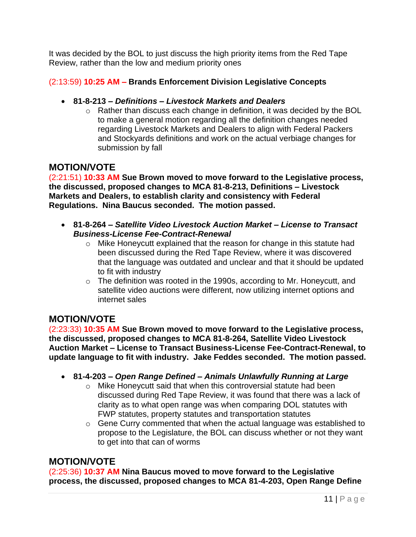It was decided by the BOL to just discuss the high priority items from the Red Tape Review, rather than the low and medium priority ones

### (2:13:59) **10:25 AM – Brands Enforcement Division Legislative Concepts**

#### • **81-8-213 –** *Definitions – Livestock Markets and Dealers*

o Rather than discuss each change in definition, it was decided by the BOL to make a general motion regarding all the definition changes needed regarding Livestock Markets and Dealers to align with Federal Packers and Stockyards definitions and work on the actual verbiage changes for submission by fall

## **MOTION/VOTE**

(2:21:51) **10:33 AM Sue Brown moved to move forward to the Legislative process, the discussed, proposed changes to MCA 81-8-213, Definitions – Livestock Markets and Dealers, to establish clarity and consistency with Federal Regulations. Nina Baucus seconded. The motion passed.**

- **81-8-264 –** *Satellite Video Livestock Auction Market – License to Transact Business-License Fee-Contract-Renewal*
	- o Mike Honeycutt explained that the reason for change in this statute had been discussed during the Red Tape Review, where it was discovered that the language was outdated and unclear and that it should be updated to fit with industry
	- o The definition was rooted in the 1990s, according to Mr. Honeycutt, and satellite video auctions were different, now utilizing internet options and internet sales

## **MOTION/VOTE**

(2:23:33) **10:35 AM Sue Brown moved to move forward to the Legislative process, the discussed, proposed changes to MCA 81-8-264, Satellite Video Livestock Auction Market – License to Transact Business-License Fee-Contract-Renewal, to update language to fit with industry. Jake Feddes seconded. The motion passed.**

- **81-4-203 –** *Open Range Defined – Animals Unlawfully Running at Large*
	- o Mike Honeycutt said that when this controversial statute had been discussed during Red Tape Review, it was found that there was a lack of clarity as to what open range was when comparing DOL statutes with FWP statutes, property statutes and transportation statutes
	- o Gene Curry commented that when the actual language was established to propose to the Legislature, the BOL can discuss whether or not they want to get into that can of worms

## **MOTION/VOTE**

(2:25:36) **10:37 AM Nina Baucus moved to move forward to the Legislative process, the discussed, proposed changes to MCA 81-4-203, Open Range Define**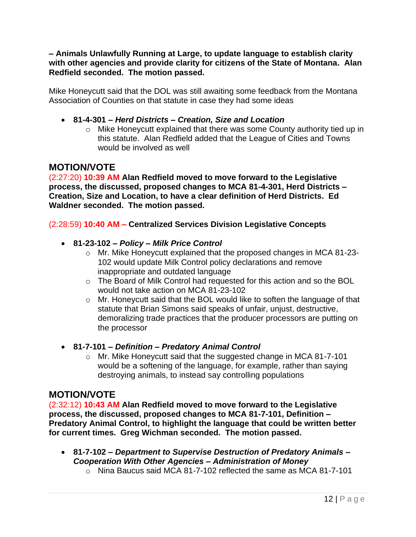**– Animals Unlawfully Running at Large, to update language to establish clarity with other agencies and provide clarity for citizens of the State of Montana. Alan Redfield seconded. The motion passed.**

Mike Honeycutt said that the DOL was still awaiting some feedback from the Montana Association of Counties on that statute in case they had some ideas

- **81-4-301 –** *Herd Districts – Creation, Size and Location*
	- o Mike Honeycutt explained that there was some County authority tied up in this statute. Alan Redfield added that the League of Cities and Towns would be involved as well

## **MOTION/VOTE**

(2:27:20) **10:39 AM Alan Redfield moved to move forward to the Legislative process, the discussed, proposed changes to MCA 81-4-301, Herd Districts – Creation, Size and Location, to have a clear definition of Herd Districts. Ed Waldner seconded. The motion passed.**

## (2:28:59) **10:40 AM – Centralized Services Division Legislative Concepts**

- **81-23-102 –** *Policy – Milk Price Control*
	- o Mr. Mike Honeycutt explained that the proposed changes in MCA 81-23- 102 would update Milk Control policy declarations and remove inappropriate and outdated language
	- o The Board of Milk Control had requested for this action and so the BOL would not take action on MCA 81-23-102
	- o Mr. Honeycutt said that the BOL would like to soften the language of that statute that Brian Simons said speaks of unfair, unjust, destructive, demoralizing trade practices that the producer processors are putting on the processor
- **81-7-101 –** *Definition – Predatory Animal Control*
	- o Mr. Mike Honeycutt said that the suggested change in MCA 81-7-101 would be a softening of the language, for example, rather than saying destroying animals, to instead say controlling populations

## **MOTION/VOTE**

(2:32:12) **10:43 AM Alan Redfield moved to move forward to the Legislative process, the discussed, proposed changes to MCA 81-7-101, Definition – Predatory Animal Control, to highlight the language that could be written better for current times. Greg Wichman seconded. The motion passed.**

- **81-7-102 –** *Department to Supervise Destruction of Predatory Animals – Cooperation With Other Agencies – Administration of Money*
	- $\overline{\circ}$  Nina Baucus said MCA 81-7-102 reflected the same as MCA 81-7-101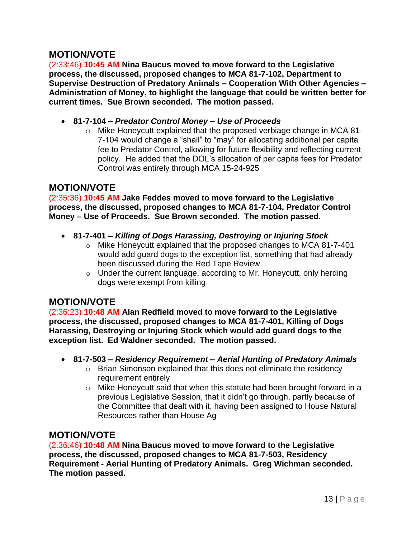## **MOTION/VOTE**

(2:33:46) **10:45 AM Nina Baucus moved to move forward to the Legislative process, the discussed, proposed changes to MCA 81-7-102, Department to Supervise Destruction of Predatory Animals – Cooperation With Other Agencies – Administration of Money, to highlight the language that could be written better for current times. Sue Brown seconded. The motion passed.**

- **81-7-104 –** *Predator Control Money – Use of Proceeds*
	- o Mike Honeycutt explained that the proposed verbiage change in MCA 81- 7-104 would change a "shall" to "may" for allocating additional per capita fee to Predator Control, allowing for future flexibility and reflecting current policy. He added that the DOL's allocation of per capita fees for Predator Control was entirely through MCA 15-24-925

## **MOTION/VOTE**

(2:35:36) **10:45 AM Jake Feddes moved to move forward to the Legislative process, the discussed, proposed changes to MCA 81-7-104, Predator Control Money – Use of Proceeds. Sue Brown seconded. The motion passed.**

- **81-7-401 –** *Killing of Dogs Harassing, Destroying or Injuring Stock*
	- o Mike Honeycutt explained that the proposed changes to MCA 81-7-401 would add guard dogs to the exception list, something that had already been discussed during the Red Tape Review
	- o Under the current language, according to Mr. Honeycutt, only herding dogs were exempt from killing

#### **MOTION/VOTE**

(2:36:23) **10:48 AM Alan Redfield moved to move forward to the Legislative process, the discussed, proposed changes to MCA 81-7-401, Killing of Dogs Harassing, Destroying or Injuring Stock which would add guard dogs to the exception list. Ed Waldner seconded. The motion passed.**

- **81-7-503 –** *Residency Requirement – Aerial Hunting of Predatory Animals*
	- o Brian Simonson explained that this does not eliminate the residency requirement entirely
	- o Mike Honeycutt said that when this statute had been brought forward in a previous Legislative Session, that it didn't go through, partly because of the Committee that dealt with it, having been assigned to House Natural Resources rather than House Ag

### **MOTION/VOTE**

(2:36:46) **10:48 AM Nina Baucus moved to move forward to the Legislative process, the discussed, proposed changes to MCA 81-7-503, Residency Requirement - Aerial Hunting of Predatory Animals. Greg Wichman seconded. The motion passed.**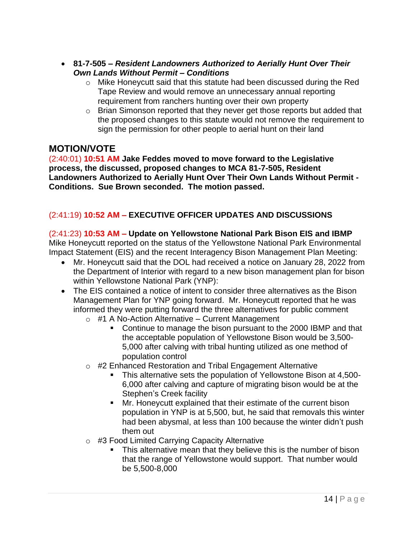- **81-7-505 –** *Resident Landowners Authorized to Aerially Hunt Over Their Own Lands Without Permit – Conditions* 
	- o Mike Honeycutt said that this statute had been discussed during the Red Tape Review and would remove an unnecessary annual reporting requirement from ranchers hunting over their own property
	- o Brian Simonson reported that they never get those reports but added that the proposed changes to this statute would not remove the requirement to sign the permission for other people to aerial hunt on their land

## **MOTION/VOTE**

(2:40:01) **10:51 AM Jake Feddes moved to move forward to the Legislative process, the discussed, proposed changes to MCA 81-7-505, Resident Landowners Authorized to Aerially Hunt Over Their Own Lands Without Permit - Conditions. Sue Brown seconded. The motion passed.**

## (2:41:19) **10:52 AM – EXECUTIVE OFFICER UPDATES AND DISCUSSIONS**

#### (2:41:23) **10:53 AM – Update on Yellowstone National Park Bison EIS and IBMP**

Mike Honeycutt reported on the status of the Yellowstone National Park Environmental Impact Statement (EIS) and the recent Interagency Bison Management Plan Meeting:

- Mr. Honeycutt said that the DOL had received a notice on January 28, 2022 from the Department of Interior with regard to a new bison management plan for bison within Yellowstone National Park (YNP):
- The EIS contained a notice of intent to consider three alternatives as the Bison Management Plan for YNP going forward. Mr. Honeycutt reported that he was informed they were putting forward the three alternatives for public comment
	- $\circ$  #1 A No-Action Alternative Current Management
		- Continue to manage the bison pursuant to the 2000 IBMP and that the acceptable population of Yellowstone Bison would be 3,500- 5,000 after calving with tribal hunting utilized as one method of population control
	- o #2 Enhanced Restoration and Tribal Engagement Alternative
		- This alternative sets the population of Yellowstone Bison at 4,500-6,000 after calving and capture of migrating bison would be at the Stephen's Creek facility
		- **■** Mr. Honeycutt explained that their estimate of the current bison population in YNP is at 5,500, but, he said that removals this winter had been abysmal, at less than 100 because the winter didn't push them out
	- o #3 Food Limited Carrying Capacity Alternative
		- This alternative mean that they believe this is the number of bison that the range of Yellowstone would support. That number would be 5,500-8,000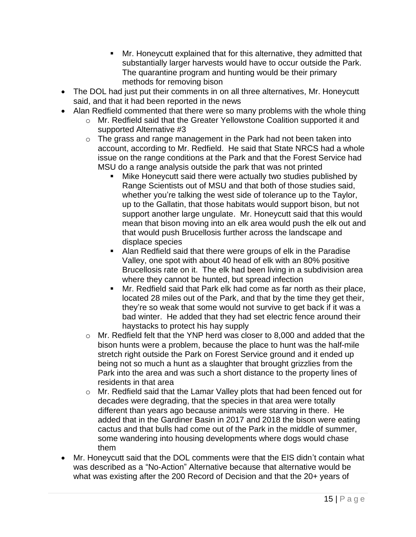- Mr. Honeycutt explained that for this alternative, they admitted that substantially larger harvests would have to occur outside the Park. The quarantine program and hunting would be their primary methods for removing bison
- The DOL had just put their comments in on all three alternatives, Mr. Honeycutt said, and that it had been reported in the news
- Alan Redfield commented that there were so many problems with the whole thing
	- o Mr. Redfield said that the Greater Yellowstone Coalition supported it and supported Alternative #3
	- $\circ$  The grass and range management in the Park had not been taken into account, according to Mr. Redfield. He said that State NRCS had a whole issue on the range conditions at the Park and that the Forest Service had MSU do a range analysis outside the park that was not printed
		- Mike Honeycutt said there were actually two studies published by Range Scientists out of MSU and that both of those studies said, whether you're talking the west side of tolerance up to the Taylor, up to the Gallatin, that those habitats would support bison, but not support another large ungulate. Mr. Honeycutt said that this would mean that bison moving into an elk area would push the elk out and that would push Brucellosis further across the landscape and displace species
		- Alan Redfield said that there were groups of elk in the Paradise Valley, one spot with about 40 head of elk with an 80% positive Brucellosis rate on it. The elk had been living in a subdivision area where they cannot be hunted, but spread infection
		- Mr. Redfield said that Park elk had come as far north as their place, located 28 miles out of the Park, and that by the time they get their, they're so weak that some would not survive to get back if it was a bad winter. He added that they had set electric fence around their haystacks to protect his hay supply
	- o Mr. Redfield felt that the YNP herd was closer to 8,000 and added that the bison hunts were a problem, because the place to hunt was the half-mile stretch right outside the Park on Forest Service ground and it ended up being not so much a hunt as a slaughter that brought grizzlies from the Park into the area and was such a short distance to the property lines of residents in that area
	- o Mr. Redfield said that the Lamar Valley plots that had been fenced out for decades were degrading, that the species in that area were totally different than years ago because animals were starving in there. He added that in the Gardiner Basin in 2017 and 2018 the bison were eating cactus and that bulls had come out of the Park in the middle of summer, some wandering into housing developments where dogs would chase them
- Mr. Honeycutt said that the DOL comments were that the EIS didn't contain what was described as a "No-Action" Alternative because that alternative would be what was existing after the 200 Record of Decision and that the 20+ years of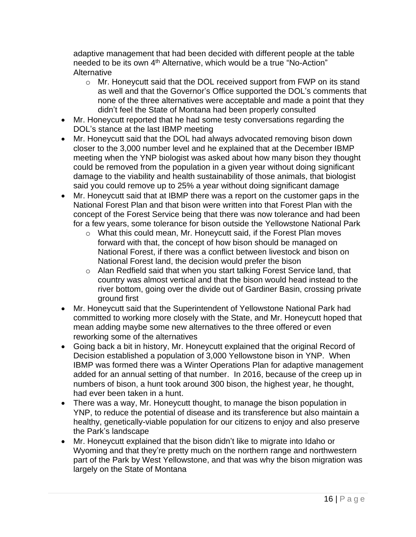adaptive management that had been decided with different people at the table needed to be its own 4th Alternative, which would be a true "No-Action" **Alternative** 

- o Mr. Honeycutt said that the DOL received support from FWP on its stand as well and that the Governor's Office supported the DOL's comments that none of the three alternatives were acceptable and made a point that they didn't feel the State of Montana had been properly consulted
- Mr. Honeycutt reported that he had some testy conversations regarding the DOL's stance at the last IBMP meeting
- Mr. Honeycutt said that the DOL had always advocated removing bison down closer to the 3,000 number level and he explained that at the December IBMP meeting when the YNP biologist was asked about how many bison they thought could be removed from the population in a given year without doing significant damage to the viability and health sustainability of those animals, that biologist said you could remove up to 25% a year without doing significant damage
- Mr. Honeycutt said that at IBMP there was a report on the customer gaps in the National Forest Plan and that bison were written into that Forest Plan with the concept of the Forest Service being that there was now tolerance and had been for a few years, some tolerance for bison outside the Yellowstone National Park
	- o What this could mean, Mr. Honeycutt said, if the Forest Plan moves forward with that, the concept of how bison should be managed on National Forest, if there was a conflict between livestock and bison on National Forest land, the decision would prefer the bison
	- o Alan Redfield said that when you start talking Forest Service land, that country was almost vertical and that the bison would head instead to the river bottom, going over the divide out of Gardiner Basin, crossing private ground first
- Mr. Honeycutt said that the Superintendent of Yellowstone National Park had committed to working more closely with the State, and Mr. Honeycutt hoped that mean adding maybe some new alternatives to the three offered or even reworking some of the alternatives
- Going back a bit in history, Mr. Honeycutt explained that the original Record of Decision established a population of 3,000 Yellowstone bison in YNP. When IBMP was formed there was a Winter Operations Plan for adaptive management added for an annual setting of that number. In 2016, because of the creep up in numbers of bison, a hunt took around 300 bison, the highest year, he thought, had ever been taken in a hunt.
- There was a way, Mr. Honeycutt thought, to manage the bison population in YNP, to reduce the potential of disease and its transference but also maintain a healthy, genetically-viable population for our citizens to enjoy and also preserve the Park's landscape
- Mr. Honeycutt explained that the bison didn't like to migrate into Idaho or Wyoming and that they're pretty much on the northern range and northwestern part of the Park by West Yellowstone, and that was why the bison migration was largely on the State of Montana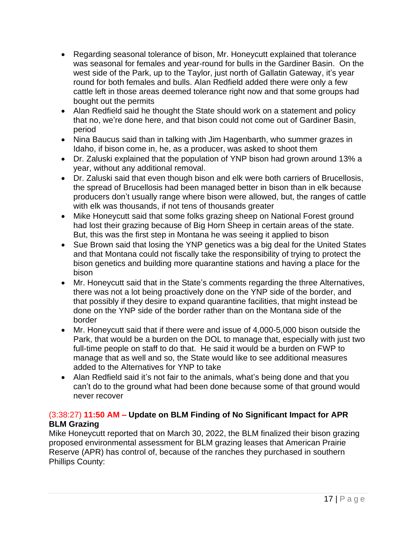- Regarding seasonal tolerance of bison, Mr. Honeycutt explained that tolerance was seasonal for females and year-round for bulls in the Gardiner Basin. On the west side of the Park, up to the Taylor, just north of Gallatin Gateway, it's year round for both females and bulls. Alan Redfield added there were only a few cattle left in those areas deemed tolerance right now and that some groups had bought out the permits
- Alan Redfield said he thought the State should work on a statement and policy that no, we're done here, and that bison could not come out of Gardiner Basin, period
- Nina Baucus said than in talking with Jim Hagenbarth, who summer grazes in Idaho, if bison come in, he, as a producer, was asked to shoot them
- Dr. Zaluski explained that the population of YNP bison had grown around 13% a year, without any additional removal.
- Dr. Zaluski said that even though bison and elk were both carriers of Brucellosis, the spread of Brucellosis had been managed better in bison than in elk because producers don't usually range where bison were allowed, but, the ranges of cattle with elk was thousands, if not tens of thousands greater
- Mike Honeycutt said that some folks grazing sheep on National Forest ground had lost their grazing because of Big Horn Sheep in certain areas of the state. But, this was the first step in Montana he was seeing it applied to bison
- Sue Brown said that losing the YNP genetics was a big deal for the United States and that Montana could not fiscally take the responsibility of trying to protect the bison genetics and building more quarantine stations and having a place for the bison
- Mr. Honeycutt said that in the State's comments regarding the three Alternatives, there was not a lot being proactively done on the YNP side of the border, and that possibly if they desire to expand quarantine facilities, that might instead be done on the YNP side of the border rather than on the Montana side of the border
- Mr. Honeycutt said that if there were and issue of 4,000-5,000 bison outside the Park, that would be a burden on the DOL to manage that, especially with just two full-time people on staff to do that. He said it would be a burden on FWP to manage that as well and so, the State would like to see additional measures added to the Alternatives for YNP to take
- Alan Redfield said it's not fair to the animals, what's being done and that you can't do to the ground what had been done because some of that ground would never recover

## (3:38:27) **11:50 AM – Update on BLM Finding of No Significant Impact for APR BLM Grazing**

Mike Honeycutt reported that on March 30, 2022, the BLM finalized their bison grazing proposed environmental assessment for BLM grazing leases that American Prairie Reserve (APR) has control of, because of the ranches they purchased in southern Phillips County: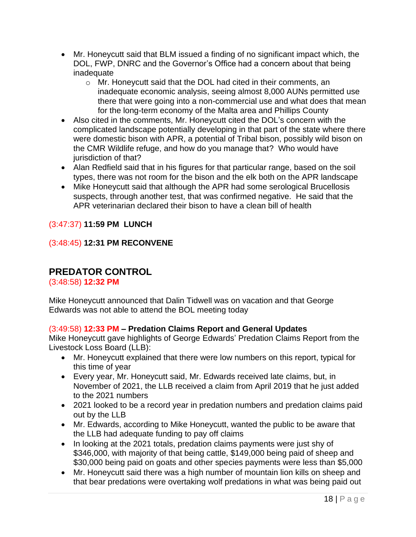- Mr. Honeycutt said that BLM issued a finding of no significant impact which, the DOL, FWP, DNRC and the Governor's Office had a concern about that being inadequate
	- o Mr. Honeycutt said that the DOL had cited in their comments, an inadequate economic analysis, seeing almost 8,000 AUNs permitted use there that were going into a non-commercial use and what does that mean for the long-term economy of the Malta area and Phillips County
- Also cited in the comments, Mr. Honeycutt cited the DOL's concern with the complicated landscape potentially developing in that part of the state where there were domestic bison with APR, a potential of Tribal bison, possibly wild bison on the CMR Wildlife refuge, and how do you manage that? Who would have jurisdiction of that?
- Alan Redfield said that in his figures for that particular range, based on the soil types, there was not room for the bison and the elk both on the APR landscape
- Mike Honeycutt said that although the APR had some serological Brucellosis suspects, through another test, that was confirmed negative. He said that the APR veterinarian declared their bison to have a clean bill of health

## (3:47:37) **11:59 PM LUNCH**

## (3:48:45) **12:31 PM RECONVENE**

## **PREDATOR CONTROL**

(3:48:58) **12:32 PM**

Mike Honeycutt announced that Dalin Tidwell was on vacation and that George Edwards was not able to attend the BOL meeting today

## (3:49:58) **12:33 PM – Predation Claims Report and General Updates**

Mike Honeycutt gave highlights of George Edwards' Predation Claims Report from the Livestock Loss Board (LLB):

- Mr. Honeycutt explained that there were low numbers on this report, typical for this time of year
- Every year, Mr. Honeycutt said, Mr. Edwards received late claims, but, in November of 2021, the LLB received a claim from April 2019 that he just added to the 2021 numbers
- 2021 looked to be a record year in predation numbers and predation claims paid out by the LLB
- Mr. Edwards, according to Mike Honeycutt, wanted the public to be aware that the LLB had adequate funding to pay off claims
- In looking at the 2021 totals, predation claims payments were just shy of \$346,000, with majority of that being cattle, \$149,000 being paid of sheep and \$30,000 being paid on goats and other species payments were less than \$5,000
- Mr. Honeycutt said there was a high number of mountain lion kills on sheep and that bear predations were overtaking wolf predations in what was being paid out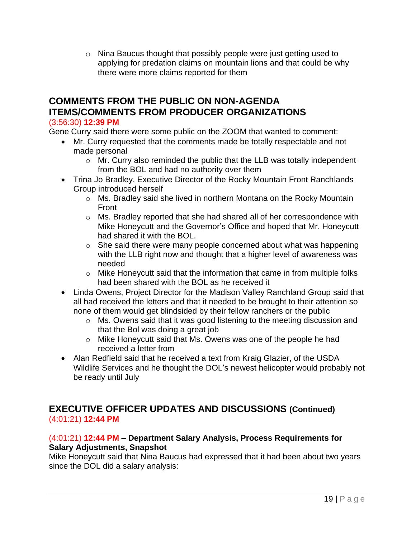o Nina Baucus thought that possibly people were just getting used to applying for predation claims on mountain lions and that could be why there were more claims reported for them

## **COMMENTS FROM THE PUBLIC ON NON-AGENDA ITEMS/COMMENTS FROM PRODUCER ORGANIZATIONS**

#### (3:56:30) **12:39 PM**

Gene Curry said there were some public on the ZOOM that wanted to comment:

- Mr. Curry requested that the comments made be totally respectable and not made personal
	- o Mr. Curry also reminded the public that the LLB was totally independent from the BOL and had no authority over them
- Trina Jo Bradley, Executive Director of the Rocky Mountain Front Ranchlands Group introduced herself
	- o Ms. Bradley said she lived in northern Montana on the Rocky Mountain Front
	- o Ms. Bradley reported that she had shared all of her correspondence with Mike Honeycutt and the Governor's Office and hoped that Mr. Honeycutt had shared it with the BOL.
	- o She said there were many people concerned about what was happening with the LLB right now and thought that a higher level of awareness was needed
	- o Mike Honeycutt said that the information that came in from multiple folks had been shared with the BOL as he received it
- Linda Owens, Project Director for the Madison Valley Ranchland Group said that all had received the letters and that it needed to be brought to their attention so none of them would get blindsided by their fellow ranchers or the public
	- o Ms. Owens said that it was good listening to the meeting discussion and that the Bol was doing a great job
	- o Mike Honeycutt said that Ms. Owens was one of the people he had received a letter from
- Alan Redfield said that he received a text from Kraig Glazier, of the USDA Wildlife Services and he thought the DOL's newest helicopter would probably not be ready until July

## **EXECUTIVE OFFICER UPDATES AND DISCUSSIONS (Continued)** (4:01:21) **12:44 PM**

#### (4:01:21) **12:44 PM – Department Salary Analysis, Process Requirements for Salary Adjustments, Snapshot**

Mike Honeycutt said that Nina Baucus had expressed that it had been about two years since the DOL did a salary analysis: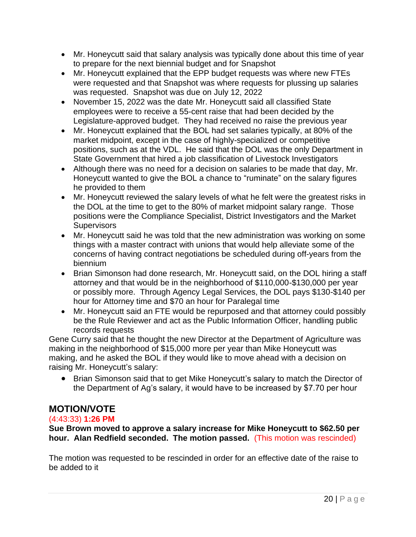- Mr. Honeycutt said that salary analysis was typically done about this time of year to prepare for the next biennial budget and for Snapshot
- Mr. Honeycutt explained that the EPP budget requests was where new FTEs were requested and that Snapshot was where requests for plussing up salaries was requested. Snapshot was due on July 12, 2022
- November 15, 2022 was the date Mr. Honeycutt said all classified State employees were to receive a 55-cent raise that had been decided by the Legislature-approved budget. They had received no raise the previous year
- Mr. Honeycutt explained that the BOL had set salaries typically, at 80% of the market midpoint, except in the case of highly-specialized or competitive positions, such as at the VDL. He said that the DOL was the only Department in State Government that hired a job classification of Livestock Investigators
- Although there was no need for a decision on salaries to be made that day, Mr. Honeycutt wanted to give the BOL a chance to "ruminate" on the salary figures he provided to them
- Mr. Honeycutt reviewed the salary levels of what he felt were the greatest risks in the DOL at the time to get to the 80% of market midpoint salary range. Those positions were the Compliance Specialist, District Investigators and the Market **Supervisors**
- Mr. Honeycutt said he was told that the new administration was working on some things with a master contract with unions that would help alleviate some of the concerns of having contract negotiations be scheduled during off-years from the biennium
- Brian Simonson had done research, Mr. Honeycutt said, on the DOL hiring a staff attorney and that would be in the neighborhood of \$110,000-\$130,000 per year or possibly more. Through Agency Legal Services, the DOL pays \$130-\$140 per hour for Attorney time and \$70 an hour for Paralegal time
- Mr. Honeycutt said an FTE would be repurposed and that attorney could possibly be the Rule Reviewer and act as the Public Information Officer, handling public records requests

Gene Curry said that he thought the new Director at the Department of Agriculture was making in the neighborhood of \$15,000 more per year than Mike Honeycutt was making, and he asked the BOL if they would like to move ahead with a decision on raising Mr. Honeycutt's salary:

• Brian Simonson said that to get Mike Honeycutt's salary to match the Director of the Department of Ag's salary, it would have to be increased by \$7.70 per hour

## **MOTION/VOTE**

#### (4:43:33) **1:26 PM**

**Sue Brown moved to approve a salary increase for Mike Honeycutt to \$62.50 per hour. Alan Redfield seconded. The motion passed.** (This motion was rescinded)

The motion was requested to be rescinded in order for an effective date of the raise to be added to it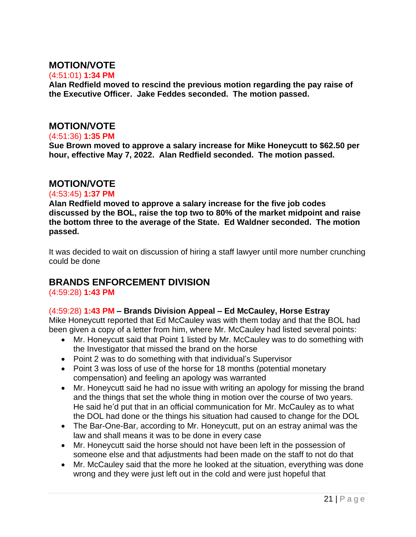## **MOTION/VOTE**

#### (4:51:01) **1:34 PM**

**Alan Redfield moved to rescind the previous motion regarding the pay raise of the Executive Officer. Jake Feddes seconded. The motion passed.** 

## **MOTION/VOTE**

#### (4:51:36) **1:35 PM**

**Sue Brown moved to approve a salary increase for Mike Honeycutt to \$62.50 per hour, effective May 7, 2022. Alan Redfield seconded. The motion passed.** 

## **MOTION/VOTE**

#### (4:53:45) **1:37 PM**

**Alan Redfield moved to approve a salary increase for the five job codes discussed by the BOL, raise the top two to 80% of the market midpoint and raise the bottom three to the average of the State. Ed Waldner seconded. The motion passed.** 

It was decided to wait on discussion of hiring a staff lawyer until more number crunching could be done

## **BRANDS ENFORCEMENT DIVISION**

#### (4:59:28) **1:43 PM**

#### (4:59:28) **1:43 PM – Brands Division Appeal – Ed McCauley, Horse Estray**

Mike Honeycutt reported that Ed McCauley was with them today and that the BOL had been given a copy of a letter from him, where Mr. McCauley had listed several points:

- Mr. Honeycutt said that Point 1 listed by Mr. McCauley was to do something with the Investigator that missed the brand on the horse
- Point 2 was to do something with that individual's Supervisor
- Point 3 was loss of use of the horse for 18 months (potential monetary compensation) and feeling an apology was warranted
- Mr. Honeycutt said he had no issue with writing an apology for missing the brand and the things that set the whole thing in motion over the course of two years. He said he'd put that in an official communication for Mr. McCauley as to what the DOL had done or the things his situation had caused to change for the DOL
- The Bar-One-Bar, according to Mr. Honeycutt, put on an estray animal was the law and shall means it was to be done in every case
- Mr. Honeycutt said the horse should not have been left in the possession of someone else and that adjustments had been made on the staff to not do that
- Mr. McCauley said that the more he looked at the situation, everything was done wrong and they were just left out in the cold and were just hopeful that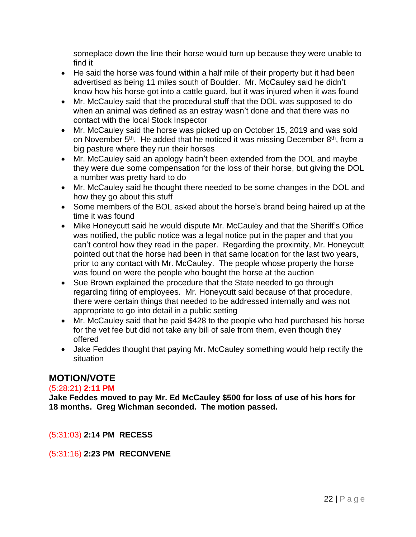someplace down the line their horse would turn up because they were unable to find it

- He said the horse was found within a half mile of their property but it had been advertised as being 11 miles south of Boulder. Mr. McCauley said he didn't know how his horse got into a cattle guard, but it was injured when it was found
- Mr. McCauley said that the procedural stuff that the DOL was supposed to do when an animal was defined as an estray wasn't done and that there was no contact with the local Stock Inspector
- Mr. McCauley said the horse was picked up on October 15, 2019 and was sold on November 5<sup>th</sup>. He added that he noticed it was missing December 8<sup>th</sup>, from a big pasture where they run their horses
- Mr. McCauley said an apology hadn't been extended from the DOL and maybe they were due some compensation for the loss of their horse, but giving the DOL a number was pretty hard to do
- Mr. McCauley said he thought there needed to be some changes in the DOL and how they go about this stuff
- Some members of the BOL asked about the horse's brand being haired up at the time it was found
- Mike Honeycutt said he would dispute Mr. McCauley and that the Sheriff's Office was notified, the public notice was a legal notice put in the paper and that you can't control how they read in the paper. Regarding the proximity, Mr. Honeycutt pointed out that the horse had been in that same location for the last two years, prior to any contact with Mr. McCauley. The people whose property the horse was found on were the people who bought the horse at the auction
- Sue Brown explained the procedure that the State needed to go through regarding firing of employees. Mr. Honeycutt said because of that procedure, there were certain things that needed to be addressed internally and was not appropriate to go into detail in a public setting
- Mr. McCauley said that he paid \$428 to the people who had purchased his horse for the vet fee but did not take any bill of sale from them, even though they offered
- Jake Feddes thought that paying Mr. McCauley something would help rectify the situation

## **MOTION/VOTE**

#### (5:28:21) **2:11 PM**

**Jake Feddes moved to pay Mr. Ed McCauley \$500 for loss of use of his hors for 18 months. Greg Wichman seconded. The motion passed.** 

(5:31:03) **2:14 PM RECESS**

(5:31:16) **2:23 PM RECONVENE**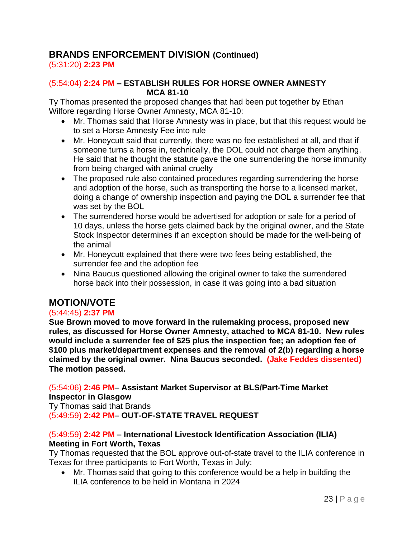## **BRANDS ENFORCEMENT DIVISION (Continued)**

(5:31:20) **2:23 PM**

#### (5:54:04) **2:24 PM – ESTABLISH RULES FOR HORSE OWNER AMNESTY MCA 81-10**

Ty Thomas presented the proposed changes that had been put together by Ethan Wilfore regarding Horse Owner Amnesty, MCA 81-10:

- Mr. Thomas said that Horse Amnesty was in place, but that this request would be to set a Horse Amnesty Fee into rule
- Mr. Honeycutt said that currently, there was no fee established at all, and that if someone turns a horse in, technically, the DOL could not charge them anything. He said that he thought the statute gave the one surrendering the horse immunity from being charged with animal cruelty
- The proposed rule also contained procedures regarding surrendering the horse and adoption of the horse, such as transporting the horse to a licensed market, doing a change of ownership inspection and paying the DOL a surrender fee that was set by the BOL
- The surrendered horse would be advertised for adoption or sale for a period of 10 days, unless the horse gets claimed back by the original owner, and the State Stock Inspector determines if an exception should be made for the well-being of the animal
- Mr. Honeycutt explained that there were two fees being established, the surrender fee and the adoption fee
- Nina Baucus questioned allowing the original owner to take the surrendered horse back into their possession, in case it was going into a bad situation

## **MOTION/VOTE**

#### (5:44:45) **2:37 PM**

**Sue Brown moved to move forward in the rulemaking process, proposed new rules, as discussed for Horse Owner Amnesty, attached to MCA 81-10. New rules would include a surrender fee of \$25 plus the inspection fee; an adoption fee of \$100 plus market/department expenses and the removal of 2(b) regarding a horse claimed by the original owner. Nina Baucus seconded. (Jake Feddes dissented) The motion passed.** 

#### (5:54:06) **2:46 PM– Assistant Market Supervisor at BLS/Part-Time Market Inspector in Glasgow**

Ty Thomas said that Brands (5:49:59) **2:42 PM– OUT-OF-STATE TRAVEL REQUEST**

#### (5:49:59) **2:42 PM – International Livestock Identification Association (ILIA) Meeting in Fort Worth, Texas**

Ty Thomas requested that the BOL approve out-of-state travel to the ILIA conference in Texas for three participants to Fort Worth, Texas in July:

• Mr. Thomas said that going to this conference would be a help in building the ILIA conference to be held in Montana in 2024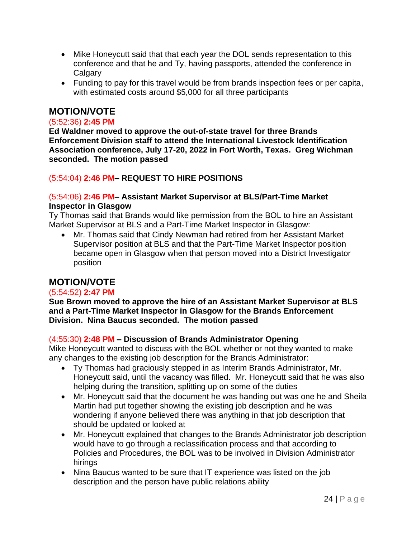- Mike Honeycutt said that that each year the DOL sends representation to this conference and that he and Ty, having passports, attended the conference in **Calgary**
- Funding to pay for this travel would be from brands inspection fees or per capita, with estimated costs around \$5,000 for all three participants

## **MOTION/VOTE**

#### (5:52:36) **2:45 PM**

**Ed Waldner moved to approve the out-of-state travel for three Brands Enforcement Division staff to attend the International Livestock Identification Association conference, July 17-20, 2022 in Fort Worth, Texas. Greg Wichman seconded. The motion passed**

#### (5:54:04) **2:46 PM– REQUEST TO HIRE POSITIONS**

#### (5:54:06) **2:46 PM– Assistant Market Supervisor at BLS/Part-Time Market Inspector in Glasgow**

Ty Thomas said that Brands would like permission from the BOL to hire an Assistant Market Supervisor at BLS and a Part-Time Market Inspector in Glasgow:

• Mr. Thomas said that Cindy Newman had retired from her Assistant Market Supervisor position at BLS and that the Part-Time Market Inspector position became open in Glasgow when that person moved into a District Investigator position

## **MOTION/VOTE**

#### (5:54:52) **2:47 PM**

**Sue Brown moved to approve the hire of an Assistant Market Supervisor at BLS and a Part-Time Market Inspector in Glasgow for the Brands Enforcement Division. Nina Baucus seconded. The motion passed**

#### (4:55:30) **2:48 PM – Discussion of Brands Administrator Opening**

Mike Honeycutt wanted to discuss with the BOL whether or not they wanted to make any changes to the existing job description for the Brands Administrator:

- Ty Thomas had graciously stepped in as Interim Brands Administrator, Mr. Honeycutt said, until the vacancy was filled. Mr. Honeycutt said that he was also helping during the transition, splitting up on some of the duties
- Mr. Honeycutt said that the document he was handing out was one he and Sheila Martin had put together showing the existing job description and he was wondering if anyone believed there was anything in that job description that should be updated or looked at
- Mr. Honeycutt explained that changes to the Brands Administrator job description would have to go through a reclassification process and that according to Policies and Procedures, the BOL was to be involved in Division Administrator hirings
- Nina Baucus wanted to be sure that IT experience was listed on the job description and the person have public relations ability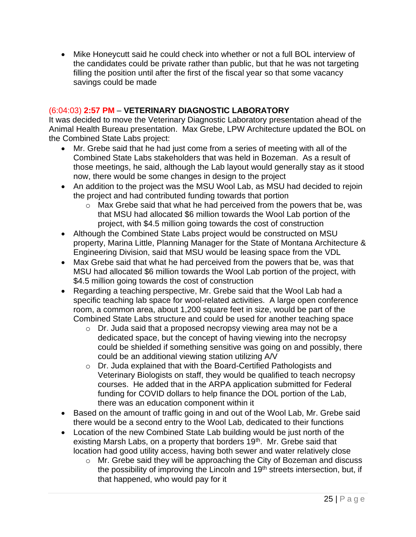• Mike Honeycutt said he could check into whether or not a full BOL interview of the candidates could be private rather than public, but that he was not targeting filling the position until after the first of the fiscal year so that some vacancy savings could be made

#### (6:04:03) **2:57 PM** – **VETERINARY DIAGNOSTIC LABORATORY**

It was decided to move the Veterinary Diagnostic Laboratory presentation ahead of the Animal Health Bureau presentation. Max Grebe, LPW Architecture updated the BOL on the Combined State Labs project:

- Mr. Grebe said that he had just come from a series of meeting with all of the Combined State Labs stakeholders that was held in Bozeman. As a result of those meetings, he said, although the Lab layout would generally stay as it stood now, there would be some changes in design to the project
- An addition to the project was the MSU Wool Lab, as MSU had decided to rejoin the project and had contributed funding towards that portion
	- o Max Grebe said that what he had perceived from the powers that be, was that MSU had allocated \$6 million towards the Wool Lab portion of the project, with \$4.5 million going towards the cost of construction
- Although the Combined State Labs project would be constructed on MSU property, Marina Little, Planning Manager for the State of Montana Architecture & Engineering Division, said that MSU would be leasing space from the VDL
- Max Grebe said that what he had perceived from the powers that be, was that MSU had allocated \$6 million towards the Wool Lab portion of the project, with \$4.5 million going towards the cost of construction
- Regarding a teaching perspective, Mr. Grebe said that the Wool Lab had a specific teaching lab space for wool-related activities. A large open conference room, a common area, about 1,200 square feet in size, would be part of the Combined State Labs structure and could be used for another teaching space
	- o Dr. Juda said that a proposed necropsy viewing area may not be a dedicated space, but the concept of having viewing into the necropsy could be shielded if something sensitive was going on and possibly, there could be an additional viewing station utilizing A/V
	- o Dr. Juda explained that with the Board-Certified Pathologists and Veterinary Biologists on staff, they would be qualified to teach necropsy courses. He added that in the ARPA application submitted for Federal funding for COVID dollars to help finance the DOL portion of the Lab, there was an education component within it
- Based on the amount of traffic going in and out of the Wool Lab, Mr. Grebe said there would be a second entry to the Wool Lab, dedicated to their functions
- Location of the new Combined State Lab building would be just north of the existing Marsh Labs, on a property that borders 19<sup>th</sup>. Mr. Grebe said that location had good utility access, having both sewer and water relatively close
	- o Mr. Grebe said they will be approaching the City of Bozeman and discuss the possibility of improving the Lincoln and 19th streets intersection, but, if that happened, who would pay for it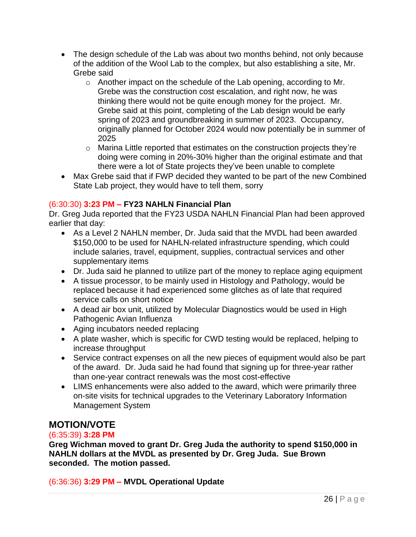- The design schedule of the Lab was about two months behind, not only because of the addition of the Wool Lab to the complex, but also establishing a site, Mr. Grebe said
	- o Another impact on the schedule of the Lab opening, according to Mr. Grebe was the construction cost escalation, and right now, he was thinking there would not be quite enough money for the project. Mr. Grebe said at this point, completing of the Lab design would be early spring of 2023 and groundbreaking in summer of 2023. Occupancy, originally planned for October 2024 would now potentially be in summer of 2025
	- o Marina Little reported that estimates on the construction projects they're doing were coming in 20%-30% higher than the original estimate and that there were a lot of State projects they've been unable to complete
- Max Grebe said that if FWP decided they wanted to be part of the new Combined State Lab project, they would have to tell them, sorry

## (6:30:30) **3:23 PM – FY23 NAHLN Financial Plan**

Dr. Greg Juda reported that the FY23 USDA NAHLN Financial Plan had been approved earlier that day:

- As a Level 2 NAHLN member, Dr. Juda said that the MVDL had been awarded \$150,000 to be used for NAHLN-related infrastructure spending, which could include salaries, travel, equipment, supplies, contractual services and other supplementary items
- Dr. Juda said he planned to utilize part of the money to replace aging equipment
- A tissue processor, to be mainly used in Histology and Pathology, would be replaced because it had experienced some glitches as of late that required service calls on short notice
- A dead air box unit, utilized by Molecular Diagnostics would be used in High Pathogenic Avian Influenza
- Aging incubators needed replacing
- A plate washer, which is specific for CWD testing would be replaced, helping to increase throughput
- Service contract expenses on all the new pieces of equipment would also be part of the award. Dr. Juda said he had found that signing up for three-year rather than one-year contract renewals was the most cost-effective
- LIMS enhancements were also added to the award, which were primarily three on-site visits for technical upgrades to the Veterinary Laboratory Information Management System

## **MOTION/VOTE**

#### (6:35:39) **3:28 PM**

**Greg Wichman moved to grant Dr. Greg Juda the authority to spend \$150,000 in NAHLN dollars at the MVDL as presented by Dr. Greg Juda. Sue Brown seconded. The motion passed.**

(6:36:36) **3:29 PM – MVDL Operational Update**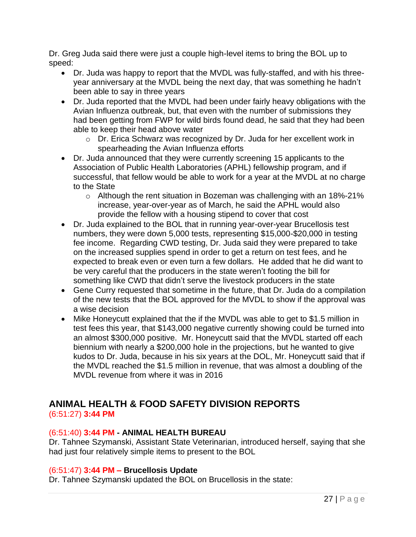Dr. Greg Juda said there were just a couple high-level items to bring the BOL up to speed:

- Dr. Juda was happy to report that the MVDL was fully-staffed, and with his threeyear anniversary at the MVDL being the next day, that was something he hadn't been able to say in three years
- Dr. Juda reported that the MVDL had been under fairly heavy obligations with the Avian Influenza outbreak, but, that even with the number of submissions they had been getting from FWP for wild birds found dead, he said that they had been able to keep their head above water
	- o Dr. Erica Schwarz was recognized by Dr. Juda for her excellent work in spearheading the Avian Influenza efforts
- Dr. Juda announced that they were currently screening 15 applicants to the Association of Public Health Laboratories (APHL) fellowship program, and if successful, that fellow would be able to work for a year at the MVDL at no charge to the State
	- $\circ$  Although the rent situation in Bozeman was challenging with an 18%-21% increase, year-over-year as of March, he said the APHL would also provide the fellow with a housing stipend to cover that cost
- Dr. Juda explained to the BOL that in running year-over-year Brucellosis test numbers, they were down 5,000 tests, representing \$15,000-\$20,000 in testing fee income. Regarding CWD testing, Dr. Juda said they were prepared to take on the increased supplies spend in order to get a return on test fees, and he expected to break even or even turn a few dollars. He added that he did want to be very careful that the producers in the state weren't footing the bill for something like CWD that didn't serve the livestock producers in the state
- Gene Curry requested that sometime in the future, that Dr. Juda do a compilation of the new tests that the BOL approved for the MVDL to show if the approval was a wise decision
- Mike Honeycutt explained that the if the MVDL was able to get to \$1.5 million in test fees this year, that \$143,000 negative currently showing could be turned into an almost \$300,000 positive. Mr. Honeycutt said that the MVDL started off each biennium with nearly a \$200,000 hole in the projections, but he wanted to give kudos to Dr. Juda, because in his six years at the DOL, Mr. Honeycutt said that if the MVDL reached the \$1.5 million in revenue, that was almost a doubling of the MVDL revenue from where it was in 2016

#### **ANIMAL HEALTH & FOOD SAFETY DIVISION REPORTS** (6:51:27) **3:44 PM**

#### (6:51:40) **3:44 PM - ANIMAL HEALTH BUREAU**

Dr. Tahnee Szymanski, Assistant State Veterinarian, introduced herself, saying that she had just four relatively simple items to present to the BOL

#### (6:51:47) **3:44 PM – Brucellosis Update**

Dr. Tahnee Szymanski updated the BOL on Brucellosis in the state: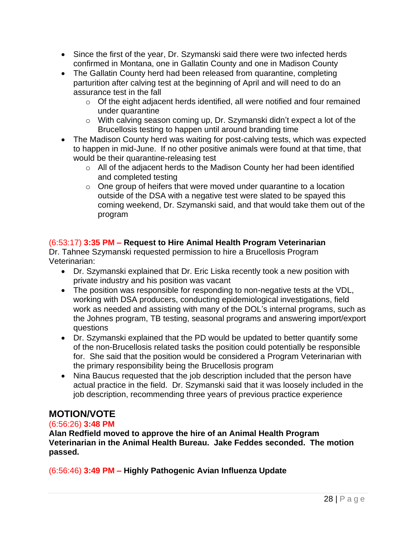- Since the first of the year, Dr. Szymanski said there were two infected herds confirmed in Montana, one in Gallatin County and one in Madison County
- The Gallatin County herd had been released from quarantine, completing parturition after calving test at the beginning of April and will need to do an assurance test in the fall
	- o Of the eight adjacent herds identified, all were notified and four remained under quarantine
	- o With calving season coming up, Dr. Szymanski didn't expect a lot of the Brucellosis testing to happen until around branding time
- The Madison County herd was waiting for post-calving tests, which was expected to happen in mid-June. If no other positive animals were found at that time, that would be their quarantine-releasing test
	- o All of the adjacent herds to the Madison County her had been identified and completed testing
	- $\circ$  One group of heifers that were moved under quarantine to a location outside of the DSA with a negative test were slated to be spayed this coming weekend, Dr. Szymanski said, and that would take them out of the program

## (6:53:17) **3:35 PM – Request to Hire Animal Health Program Veterinarian**

Dr. Tahnee Szymanski requested permission to hire a Brucellosis Program Veterinarian:

- Dr. Szymanski explained that Dr. Eric Liska recently took a new position with private industry and his position was vacant
- The position was responsible for responding to non-negative tests at the VDL, working with DSA producers, conducting epidemiological investigations, field work as needed and assisting with many of the DOL's internal programs, such as the Johnes program, TB testing, seasonal programs and answering import/export questions
- Dr. Szymanski explained that the PD would be updated to better quantify some of the non-Brucellosis related tasks the position could potentially be responsible for. She said that the position would be considered a Program Veterinarian with the primary responsibility being the Brucellosis program
- Nina Baucus requested that the job description included that the person have actual practice in the field. Dr. Szymanski said that it was loosely included in the job description, recommending three years of previous practice experience

## **MOTION/VOTE**

#### (6:56:26) **3:48 PM**

**Alan Redfield moved to approve the hire of an Animal Health Program Veterinarian in the Animal Health Bureau. Jake Feddes seconded. The motion passed.**

(6:56:46) **3:49 PM – Highly Pathogenic Avian Influenza Update**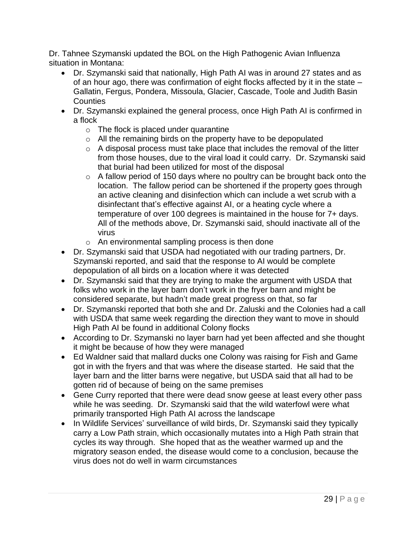Dr. Tahnee Szymanski updated the BOL on the High Pathogenic Avian Influenza situation in Montana:

- Dr. Szymanski said that nationally, High Path AI was in around 27 states and as of an hour ago, there was confirmation of eight flocks affected by it in the state – Gallatin, Fergus, Pondera, Missoula, Glacier, Cascade, Toole and Judith Basin **Counties**
- Dr. Szymanski explained the general process, once High Path AI is confirmed in a flock
	- $\circ$  The flock is placed under quarantine
	- o All the remaining birds on the property have to be depopulated
	- $\circ$  A disposal process must take place that includes the removal of the litter from those houses, due to the viral load it could carry. Dr. Szymanski said that burial had been utilized for most of the disposal
	- $\circ$  A fallow period of 150 days where no poultry can be brought back onto the location. The fallow period can be shortened if the property goes through an active cleaning and disinfection which can include a wet scrub with a disinfectant that's effective against AI, or a heating cycle where a temperature of over 100 degrees is maintained in the house for 7+ days. All of the methods above, Dr. Szymanski said, should inactivate all of the virus
	- o An environmental sampling process is then done
- Dr. Szymanski said that USDA had negotiated with our trading partners, Dr. Szymanski reported, and said that the response to AI would be complete depopulation of all birds on a location where it was detected
- Dr. Szymanski said that they are trying to make the argument with USDA that folks who work in the layer barn don't work in the fryer barn and might be considered separate, but hadn't made great progress on that, so far
- Dr. Szymanski reported that both she and Dr. Zaluski and the Colonies had a call with USDA that same week regarding the direction they want to move in should High Path AI be found in additional Colony flocks
- According to Dr. Szymanski no layer barn had yet been affected and she thought it might be because of how they were managed
- Ed Waldner said that mallard ducks one Colony was raising for Fish and Game got in with the fryers and that was where the disease started. He said that the layer barn and the litter barns were negative, but USDA said that all had to be gotten rid of because of being on the same premises
- Gene Curry reported that there were dead snow geese at least every other pass while he was seeding. Dr. Szymanski said that the wild waterfowl were what primarily transported High Path AI across the landscape
- In Wildlife Services' surveillance of wild birds, Dr. Szymanski said they typically carry a Low Path strain, which occasionally mutates into a High Path strain that cycles its way through. She hoped that as the weather warmed up and the migratory season ended, the disease would come to a conclusion, because the virus does not do well in warm circumstances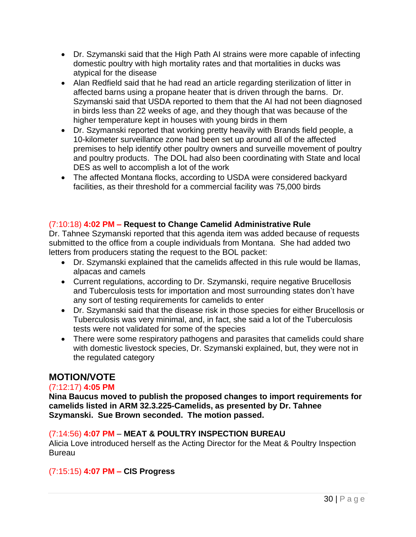- Dr. Szymanski said that the High Path AI strains were more capable of infecting domestic poultry with high mortality rates and that mortalities in ducks was atypical for the disease
- Alan Redfield said that he had read an article regarding sterilization of litter in affected barns using a propane heater that is driven through the barns. Dr. Szymanski said that USDA reported to them that the AI had not been diagnosed in birds less than 22 weeks of age, and they though that was because of the higher temperature kept in houses with young birds in them
- Dr. Szymanski reported that working pretty heavily with Brands field people, a 10-kilometer surveillance zone had been set up around all of the affected premises to help identify other poultry owners and surveille movement of poultry and poultry products. The DOL had also been coordinating with State and local DES as well to accomplish a lot of the work
- The affected Montana flocks, according to USDA were considered backyard facilities, as their threshold for a commercial facility was 75,000 birds

## (7:10:18) **4:02 PM – Request to Change Camelid Administrative Rule**

Dr. Tahnee Szymanski reported that this agenda item was added because of requests submitted to the office from a couple individuals from Montana. She had added two letters from producers stating the request to the BOL packet:

- Dr. Szymanski explained that the camelids affected in this rule would be llamas, alpacas and camels
- Current regulations, according to Dr. Szymanski, require negative Brucellosis and Tuberculosis tests for importation and most surrounding states don't have any sort of testing requirements for camelids to enter
- Dr. Szymanski said that the disease risk in those species for either Brucellosis or Tuberculosis was very minimal, and, in fact, she said a lot of the Tuberculosis tests were not validated for some of the species
- There were some respiratory pathogens and parasites that camelids could share with domestic livestock species, Dr. Szymanski explained, but, they were not in the regulated category

## **MOTION/VOTE**

#### (7:12:17) **4:05 PM**

**Nina Baucus moved to publish the proposed changes to import requirements for camelids listed in ARM 32.3.225-Camelids, as presented by Dr. Tahnee Szymanski. Sue Brown seconded. The motion passed.**

#### (7:14:56) **4:07 PM** – **MEAT & POULTRY INSPECTION BUREAU**

Alicia Love introduced herself as the Acting Director for the Meat & Poultry Inspection Bureau

## (7:15:15) **4:07 PM – CIS Progress**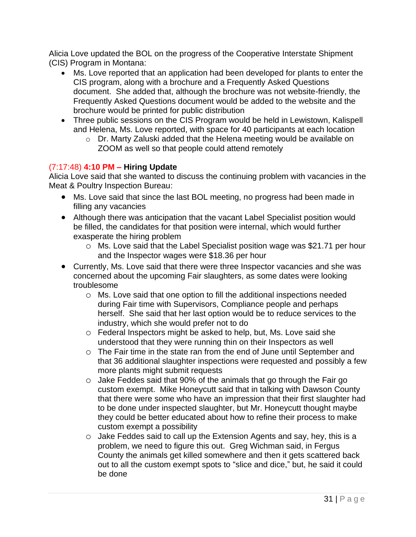Alicia Love updated the BOL on the progress of the Cooperative Interstate Shipment (CIS) Program in Montana:

- Ms. Love reported that an application had been developed for plants to enter the CIS program, along with a brochure and a Frequently Asked Questions document. She added that, although the brochure was not website-friendly, the Frequently Asked Questions document would be added to the website and the brochure would be printed for public distribution
- Three public sessions on the CIS Program would be held in Lewistown, Kalispell and Helena, Ms. Love reported, with space for 40 participants at each location
	- o Dr. Marty Zaluski added that the Helena meeting would be available on ZOOM as well so that people could attend remotely

#### (7:17:48) **4:10 PM – Hiring Update**

Alicia Love said that she wanted to discuss the continuing problem with vacancies in the Meat & Poultry Inspection Bureau:

- Ms. Love said that since the last BOL meeting, no progress had been made in filling any vacancies
- Although there was anticipation that the vacant Label Specialist position would be filled, the candidates for that position were internal, which would further exasperate the hiring problem
	- o Ms. Love said that the Label Specialist position wage was \$21.71 per hour and the Inspector wages were \$18.36 per hour
- Currently, Ms. Love said that there were three Inspector vacancies and she was concerned about the upcoming Fair slaughters, as some dates were looking troublesome
	- o Ms. Love said that one option to fill the additional inspections needed during Fair time with Supervisors, Compliance people and perhaps herself. She said that her last option would be to reduce services to the industry, which she would prefer not to do
	- o Federal Inspectors might be asked to help, but, Ms. Love said she understood that they were running thin on their Inspectors as well
	- o The Fair time in the state ran from the end of June until September and that 36 additional slaughter inspections were requested and possibly a few more plants might submit requests
	- o Jake Feddes said that 90% of the animals that go through the Fair go custom exempt. Mike Honeycutt said that in talking with Dawson County that there were some who have an impression that their first slaughter had to be done under inspected slaughter, but Mr. Honeycutt thought maybe they could be better educated about how to refine their process to make custom exempt a possibility
	- o Jake Feddes said to call up the Extension Agents and say, hey, this is a problem, we need to figure this out. Greg Wichman said, in Fergus County the animals get killed somewhere and then it gets scattered back out to all the custom exempt spots to "slice and dice," but, he said it could be done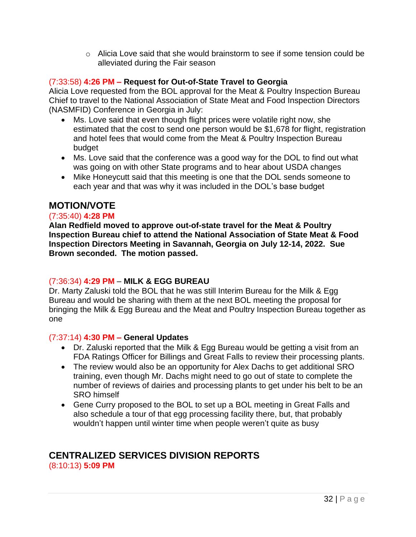$\circ$  Alicia Love said that she would brainstorm to see if some tension could be alleviated during the Fair season

#### (7:33:58) **4:26 PM – Request for Out-of-State Travel to Georgia**

Alicia Love requested from the BOL approval for the Meat & Poultry Inspection Bureau Chief to travel to the National Association of State Meat and Food Inspection Directors (NASMFID) Conference in Georgia in July:

- Ms. Love said that even though flight prices were volatile right now, she estimated that the cost to send one person would be \$1,678 for flight, registration and hotel fees that would come from the Meat & Poultry Inspection Bureau budget
- Ms. Love said that the conference was a good way for the DOL to find out what was going on with other State programs and to hear about USDA changes
- Mike Honeycutt said that this meeting is one that the DOL sends someone to each year and that was why it was included in the DOL's base budget

## **MOTION/VOTE**

#### (7:35:40) **4:28 PM**

**Alan Redfield moved to approve out-of-state travel for the Meat & Poultry Inspection Bureau chief to attend the National Association of State Meat & Food Inspection Directors Meeting in Savannah, Georgia on July 12-14, 2022. Sue Brown seconded. The motion passed.**

#### (7:36:34) **4:29 PM** – **MILK & EGG BUREAU**

Dr. Marty Zaluski told the BOL that he was still Interim Bureau for the Milk & Egg Bureau and would be sharing with them at the next BOL meeting the proposal for bringing the Milk & Egg Bureau and the Meat and Poultry Inspection Bureau together as one

#### (7:37:14) **4:30 PM – General Updates**

- Dr. Zaluski reported that the Milk & Egg Bureau would be getting a visit from an FDA Ratings Officer for Billings and Great Falls to review their processing plants.
- The review would also be an opportunity for Alex Dachs to get additional SRO training, even though Mr. Dachs might need to go out of state to complete the number of reviews of dairies and processing plants to get under his belt to be an SRO himself
- Gene Curry proposed to the BOL to set up a BOL meeting in Great Falls and also schedule a tour of that egg processing facility there, but, that probably wouldn't happen until winter time when people weren't quite as busy

### **CENTRALIZED SERVICES DIVISION REPORTS** (8:10:13) **5:09 PM**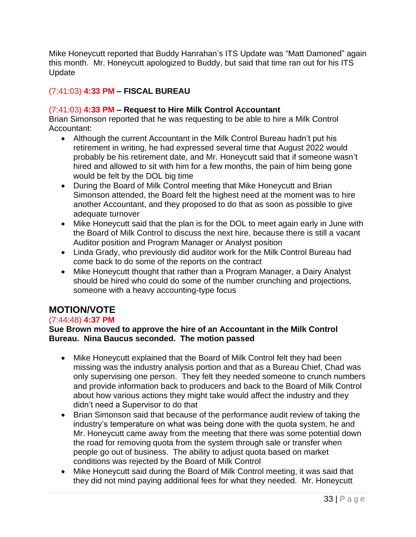Mike Honeycutt reported that Buddy Hanrahan's ITS Update was "Matt Damoned" again this month. Mr. Honeycutt apologized to Buddy, but said that time ran out for his ITS Update

## (7:41:03) **4:33 PM – FISCAL BUREAU**

### (7:41:03) **4:33 PM – Request to Hire Milk Control Accountant**

Brian Simonson reported that he was requesting to be able to hire a Milk Control Accountant:

- Although the current Accountant in the Milk Control Bureau hadn't put his retirement in writing, he had expressed several time that August 2022 would probably be his retirement date, and Mr. Honeycutt said that if someone wasn't hired and allowed to sit with him for a few months, the pain of him being gone would be felt by the DOL big time
- During the Board of Milk Control meeting that Mike Honeycutt and Brian Simonson attended, the Board felt the highest need at the moment was to hire another Accountant, and they proposed to do that as soon as possible to give adequate turnover
- Mike Honeycutt said that the plan is for the DOL to meet again early in June with the Board of Milk Control to discuss the next hire, because there is still a vacant Auditor position and Program Manager or Analyst position
- Linda Grady, who previously did auditor work for the Milk Control Bureau had come back to do some of the reports on the contract
- Mike Honeycutt thought that rather than a Program Manager, a Dairy Analyst should be hired who could do some of the number crunching and projections, someone with a heavy accounting-type focus

## **MOTION/VOTE**

#### (7:44:48) **4:37 PM**

#### **Sue Brown moved to approve the hire of an Accountant in the Milk Control Bureau. Nina Baucus seconded. The motion passed**

- Mike Honeycutt explained that the Board of Milk Control felt they had been missing was the industry analysis portion and that as a Bureau Chief, Chad was only supervising one person. They felt they needed someone to crunch numbers and provide information back to producers and back to the Board of Milk Control about how various actions they might take would affect the industry and they didn't need a Supervisor to do that
- Brian Simonson said that because of the performance audit review of taking the industry's temperature on what was being done with the quota system, he and Mr. Honeycutt came away from the meeting that there was some potential down the road for removing quota from the system through sale or transfer when people go out of business. The ability to adjust quota based on market conditions was rejected by the Board of Milk Control
- Mike Honeycutt said during the Board of Milk Control meeting, it was said that they did not mind paying additional fees for what they needed. Mr. Honeycutt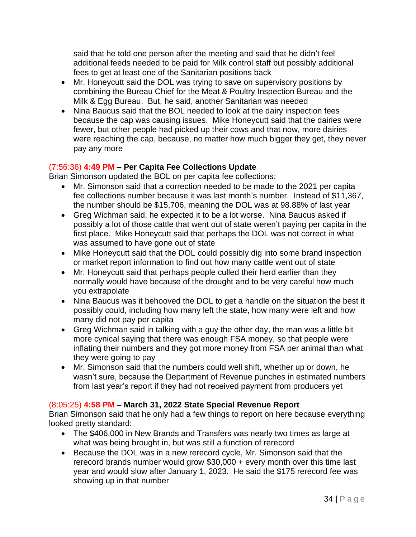said that he told one person after the meeting and said that he didn't feel additional feeds needed to be paid for Milk control staff but possibly additional fees to get at least one of the Sanitarian positions back

- Mr. Honeycutt said the DOL was trying to save on supervisory positions by combining the Bureau Chief for the Meat & Poultry Inspection Bureau and the Milk & Egg Bureau. But, he said, another Sanitarian was needed
- Nina Baucus said that the BOL needed to look at the dairy inspection fees because the cap was causing issues. Mike Honeycutt said that the dairies were fewer, but other people had picked up their cows and that now, more dairies were reaching the cap, because, no matter how much bigger they get, they never pay any more

## (7:56:36) **4:49 PM – Per Capita Fee Collections Update**

Brian Simonson updated the BOL on per capita fee collections:

- Mr. Simonson said that a correction needed to be made to the 2021 per capita fee collections number because it was last month's number. Instead of \$11,367, the number should be \$15,706, meaning the DOL was at 98.88% of last year
- Greg Wichman said, he expected it to be a lot worse. Nina Baucus asked if possibly a lot of those cattle that went out of state weren't paying per capita in the first place. Mike Honeycutt said that perhaps the DOL was not correct in what was assumed to have gone out of state
- Mike Honeycutt said that the DOL could possibly dig into some brand inspection or market report information to find out how many cattle went out of state
- Mr. Honeycutt said that perhaps people culled their herd earlier than they normally would have because of the drought and to be very careful how much you extrapolate
- Nina Baucus was it behooved the DOL to get a handle on the situation the best it possibly could, including how many left the state, how many were left and how many did not pay per capita
- Greg Wichman said in talking with a guy the other day, the man was a little bit more cynical saying that there was enough FSA money, so that people were inflating their numbers and they got more money from FSA per animal than what they were going to pay
- Mr. Simonson said that the numbers could well shift, whether up or down, he wasn't sure, because the Department of Revenue punches in estimated numbers from last year's report if they had not received payment from producers yet

#### (8:05:25) **4:58 PM – March 31, 2022 State Special Revenue Report**

Brian Simonson said that he only had a few things to report on here because everything looked pretty standard:

- The \$406,000 in New Brands and Transfers was nearly two times as large at what was being brought in, but was still a function of rerecord
- Because the DOL was in a new rerecord cycle, Mr. Simonson said that the rerecord brands number would grow  $$30,000 +$  every month over this time last year and would slow after January 1, 2023. He said the \$175 rerecord fee was showing up in that number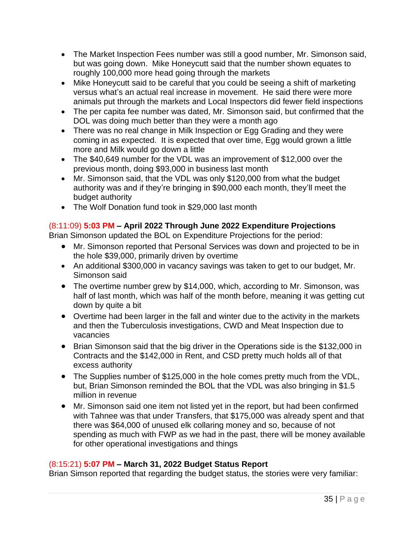- The Market Inspection Fees number was still a good number, Mr. Simonson said, but was going down. Mike Honeycutt said that the number shown equates to roughly 100,000 more head going through the markets
- Mike Honeycutt said to be careful that you could be seeing a shift of marketing versus what's an actual real increase in movement. He said there were more animals put through the markets and Local Inspectors did fewer field inspections
- The per capita fee number was dated, Mr. Simonson said, but confirmed that the DOL was doing much better than they were a month ago
- There was no real change in Milk Inspection or Egg Grading and they were coming in as expected. It is expected that over time, Egg would grown a little more and Milk would go down a little
- The \$40,649 number for the VDL was an improvement of \$12,000 over the previous month, doing \$93,000 in business last month
- Mr. Simonson said, that the VDL was only \$120,000 from what the budget authority was and if they're bringing in \$90,000 each month, they'll meet the budget authority
- The Wolf Donation fund took in \$29,000 last month

## (8:11:09) **5:03 PM – April 2022 Through June 2022 Expenditure Projections**

Brian Simonson updated the BOL on Expenditure Projections for the period:

- Mr. Simonson reported that Personal Services was down and projected to be in the hole \$39,000, primarily driven by overtime
- An additional \$300,000 in vacancy savings was taken to get to our budget, Mr. Simonson said
- The overtime number grew by \$14,000, which, according to Mr. Simonson, was half of last month, which was half of the month before, meaning it was getting cut down by quite a bit
- Overtime had been larger in the fall and winter due to the activity in the markets and then the Tuberculosis investigations, CWD and Meat Inspection due to vacancies
- Brian Simonson said that the big driver in the Operations side is the \$132,000 in Contracts and the \$142,000 in Rent, and CSD pretty much holds all of that excess authority
- The Supplies number of \$125,000 in the hole comes pretty much from the VDL, but, Brian Simonson reminded the BOL that the VDL was also bringing in \$1.5 million in revenue
- Mr. Simonson said one item not listed yet in the report, but had been confirmed with Tahnee was that under Transfers, that \$175,000 was already spent and that there was \$64,000 of unused elk collaring money and so, because of not spending as much with FWP as we had in the past, there will be money available for other operational investigations and things

## (8:15:21) **5:07 PM – March 31, 2022 Budget Status Report**

Brian Simson reported that regarding the budget status, the stories were very familiar: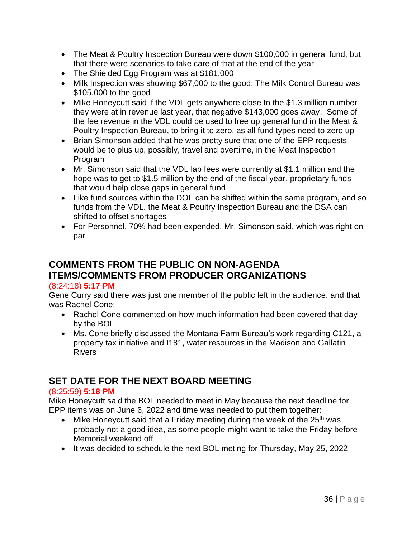- The Meat & Poultry Inspection Bureau were down \$100,000 in general fund, but that there were scenarios to take care of that at the end of the year
- The Shielded Egg Program was at \$181,000
- Milk Inspection was showing \$67,000 to the good; The Milk Control Bureau was \$105,000 to the good
- Mike Honeycutt said if the VDL gets anywhere close to the \$1.3 million number they were at in revenue last year, that negative \$143,000 goes away. Some of the fee revenue in the VDL could be used to free up general fund in the Meat & Poultry Inspection Bureau, to bring it to zero, as all fund types need to zero up
- Brian Simonson added that he was pretty sure that one of the EPP requests would be to plus up, possibly, travel and overtime, in the Meat Inspection Program
- Mr. Simonson said that the VDL lab fees were currently at \$1.1 million and the hope was to get to \$1.5 million by the end of the fiscal year, proprietary funds that would help close gaps in general fund
- Like fund sources within the DOL can be shifted within the same program, and so funds from the VDL, the Meat & Poultry Inspection Bureau and the DSA can shifted to offset shortages
- For Personnel, 70% had been expended, Mr. Simonson said, which was right on par

## **COMMENTS FROM THE PUBLIC ON NON-AGENDA ITEMS/COMMENTS FROM PRODUCER ORGANIZATIONS**

#### (8:24:18) **5:17 PM**

Gene Curry said there was just one member of the public left in the audience, and that was Rachel Cone:

- Rachel Cone commented on how much information had been covered that day by the BOL
- Ms. Cone briefly discussed the Montana Farm Bureau's work regarding C121, a property tax initiative and I181, water resources in the Madison and Gallatin Rivers

## **SET DATE FOR THE NEXT BOARD MEETING**

#### (8:25:59) **5:18 PM**

Mike Honeycutt said the BOL needed to meet in May because the next deadline for EPP items was on June 6, 2022 and time was needed to put them together:

- Mike Honeycutt said that a Friday meeting during the week of the  $25<sup>th</sup>$  was probably not a good idea, as some people might want to take the Friday before Memorial weekend off
- It was decided to schedule the next BOL meting for Thursday, May 25, 2022